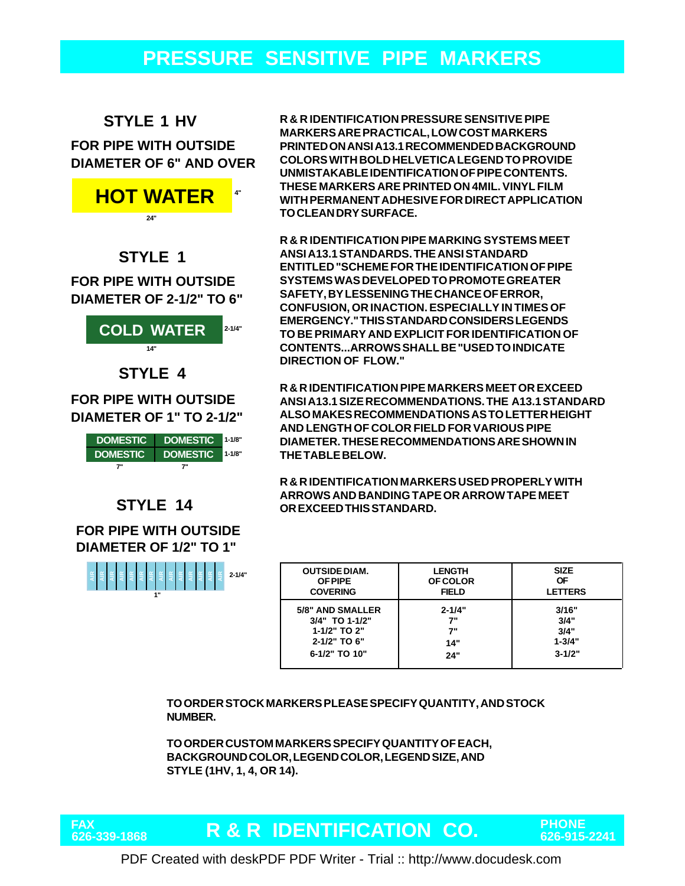## **PRESSURE SENSITIVE PIPE MARKERS**

#### **STYLE 1 HV**

#### **FOR PIPE WITH OUTSIDE DIAMETER OF 6" AND OVER**



#### **STYLE 1**

**DIAMETER OF 2-1/2" TO 6" FOR PIPE WITH OUTSIDE**



**DIAMETER OF 1" TO 2-1/2"**



#### **STYLE 14**

**DIAMETER OF 1/2" TO 1" FOR PIPE WITH OUTSIDE**



**R & R IDENTIFICATION PRESSURE SENSITIVE PIPE MARKERS ARE PRACTICAL, LOW COST MARKERS PRINTED ON ANSI A13.1 RECOMMENDED BACKGROUND COLORS WITH BOLD HELVETICA LEGEND TO PROVIDE UNMISTAKABLE IDENTIFICATION OF PIPE CONTENTS. THESE MARKERS ARE PRINTED ON 4MIL. VINYL FILM WITH PERMANENT ADHESIVE FOR DIRECT APPLICATION TO CLEAN DRY SURFACE.**

**R & R IDENTIFICATION PIPE MARKING SYSTEMS MEET ANSI A13.1 STANDARDS. THE ANSI STANDARD ENTITLED "SCHEME FOR THE IDENTIFICATION OF PIPE SYSTEMS WAS DEVELOPED TO PROMOTE GREATER SAFETY, BY LESSENING THE CHANCE OF ERROR, CONFUSION, OR INACTION. ESPECIALLY IN TIMES OF EMERGENCY." THIS STANDARD CONSIDERS LEGENDS TO BE PRIMARY AND EXPLICIT FOR IDENTIFICATION OF CONTENTS...ARROWS SHALL BE "USED TO INDICATE DIRECTION OF FLOW."**

**R & R IDENTIFICATION PIPE MARKERS MEET OR EXCEED ANSI A13.1 SIZE RECOMMENDATIONS. THE A13.1 STANDARD ALSO MAKES RECOMMENDATIONS AS TO LETTER HEIGHT AND LENGTH OF COLOR FIELD FOR VARIOUS PIPE DIAMETER. THESE RECOMMENDATIONS ARE SHOWN IN THE TABLE BELOW.**

**R & R IDENTIFICATION MARKERS USED PROPERLY WITH ARROWS AND BANDING TAPE OR ARROW TAPE MEET OR EXCEED THIS STANDARD.**

| <b>OUTSIDE DIAM.</b> | <b>LENGTH</b>   | <b>SIZE</b>    |
|----------------------|-----------------|----------------|
| <b>OF PIPE</b>       | <b>OF COLOR</b> | ΟF             |
| <b>COVERING</b>      | <b>FIELD</b>    | <b>LETTERS</b> |
| 5/8" AND SMALLER     | $2 - 1/4"$      | 3/16"          |
| 3/4" TO 1-1/2"       | 7"              | 3/4"           |
| 1-1/2" TO 2"         | 7"              | 3/4"           |
| 2-1/2" TO 6"         | 14"             | $1 - 3/4"$     |
| 6-1/2" TO 10"        | 24"             | $3 - 1/2"$     |

**TO ORDER STOCK MARKERS PLEASE SPECIFY QUANTITY, AND STOCK NUMBER.**

**TO ORDER CUSTOM MARKERS SPECIFY QUANTITY OF EACH, BACKGROUND COLOR, LEGEND COLOR, LEGEND SIZE, AND STYLE (1HV, 1, 4, OR 14).**



# **R & R IDENTIFICATION CO. PHONE 626-339-1868 626-915-2241**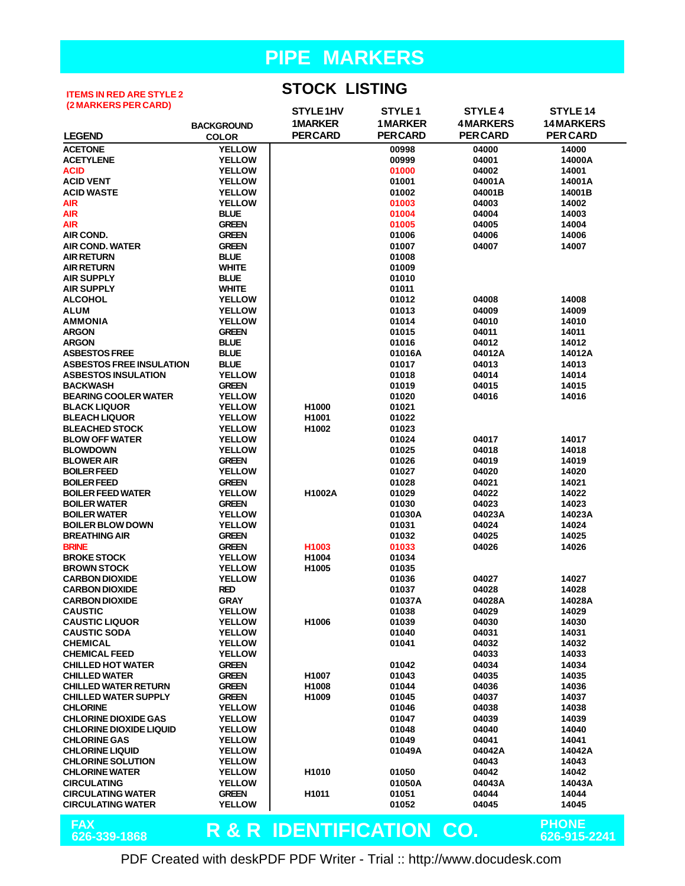#### **ITEMS IN RED ARE STYLE 2 (2 MARKERS PER CARD)**

**STOCK LISTING**

| (Z MARRERS FER UARD)            |                   | STYLE 1HV                           | STYLE <sub>1</sub> | <b>STYLE 4</b>  | STYLE 14        |
|---------------------------------|-------------------|-------------------------------------|--------------------|-----------------|-----------------|
|                                 | <b>BACKGROUND</b> | <b>1MARKER</b>                      | <b>1MARKER</b>     | <b>4MARKERS</b> | 14 MARKERS      |
| <b>LEGEND</b>                   | <b>COLOR</b>      | <b>PER CARD</b>                     | <b>PERCARD</b>     | <b>PER CARD</b> | <b>PER CARD</b> |
| <b>ACETONE</b>                  | <b>YELLOW</b>     |                                     | 00998              | 04000           | 14000           |
| <b>ACETYLENE</b>                | <b>YELLOW</b>     |                                     | 00999              | 04001           | 14000A          |
| <b>ACID</b>                     | <b>YELLOW</b>     |                                     | 01000              | 04002           | 14001           |
| <b>ACID VENT</b>                | <b>YELLOW</b>     |                                     | 01001              | 04001A          | 14001A          |
| <b>ACID WASTE</b>               | <b>YELLOW</b>     |                                     | 01002              | 04001B          | 14001B          |
| <b>AIR</b>                      | <b>YELLOW</b>     |                                     | 01003              | 04003           | 14002           |
| <b>AIR</b>                      | <b>BLUE</b>       |                                     | 01004              | 04004           | 14003           |
| <b>AIR</b>                      | <b>GREEN</b>      |                                     | 01005              | 04005           | 14004           |
| <b>AIR COND.</b>                | <b>GREEN</b>      |                                     | 01006              | 04006           | 14006           |
| <b>AIR COND. WATER</b>          | <b>GREEN</b>      |                                     | 01007              | 04007           | 14007           |
| <b>AIR RETURN</b>               | <b>BLUE</b>       |                                     | 01008              |                 |                 |
| <b>AIR RETURN</b>               | <b>WHITE</b>      |                                     | 01009              |                 |                 |
| <b>AIR SUPPLY</b>               | <b>BLUE</b>       |                                     | 01010              |                 |                 |
| <b>AIR SUPPLY</b>               | <b>WHITE</b>      |                                     | 01011              |                 |                 |
| <b>ALCOHOL</b>                  | <b>YELLOW</b>     |                                     | 01012              | 04008           | 14008           |
| <b>ALUM</b>                     | <b>YELLOW</b>     |                                     | 01013              | 04009           | 14009           |
| <b>AMMONIA</b>                  | <b>YELLOW</b>     |                                     | 01014              | 04010           | 14010           |
| <b>ARGON</b>                    | <b>GREEN</b>      |                                     | 01015              | 04011           | 14011           |
| <b>ARGON</b>                    | <b>BLUE</b>       |                                     | 01016              | 04012           | 14012           |
| <b>ASBESTOS FREE</b>            | <b>BLUE</b>       |                                     | 01016A             | 04012A          | 14012A          |
| <b>ASBESTOS FREE INSULATION</b> | <b>BLUE</b>       |                                     | 01017              | 04013           | 14013           |
| <b>ASBESTOS INSULATION</b>      | <b>YELLOW</b>     |                                     | 01018              | 04014           | 14014           |
| <b>BACKWASH</b>                 | <b>GREEN</b>      |                                     | 01019              | 04015           | 14015           |
| <b>BEARING COOLER WATER</b>     | <b>YELLOW</b>     |                                     | 01020              | 04016           | 14016           |
| <b>BLACK LIQUOR</b>             | <b>YELLOW</b>     | H1000                               | 01021              |                 |                 |
| <b>BLEACH LIQUOR</b>            | <b>YELLOW</b>     | H1001                               | 01022              |                 |                 |
| <b>BLEACHED STOCK</b>           | <b>YELLOW</b>     | H1002                               | 01023              |                 |                 |
| <b>BLOW OFF WATER</b>           | <b>YELLOW</b>     |                                     | 01024              | 04017           | 14017           |
| <b>BLOWDOWN</b>                 | <b>YELLOW</b>     |                                     | 01025              | 04018           | 14018           |
| <b>BLOWER AIR</b>               | <b>GREEN</b>      |                                     | 01026              | 04019           | 14019           |
| <b>BOILER FEED</b>              | <b>YELLOW</b>     |                                     | 01027              | 04020           | 14020           |
| <b>BOILER FEED</b>              | <b>GREEN</b>      |                                     | 01028              | 04021           | 14021           |
| <b>BOILER FEED WATER</b>        | <b>YELLOW</b>     | H1002A                              | 01029              | 04022           | 14022           |
| <b>BOILER WATER</b>             | <b>GREEN</b>      |                                     | 01030              | 04023           | 14023           |
| <b>BOILER WATER</b>             | <b>YELLOW</b>     |                                     | 01030A             | 04023A          | 14023A          |
| <b>BOILER BLOW DOWN</b>         | <b>YELLOW</b>     |                                     | 01031              | 04024           | 14024           |
| <b>BREATHING AIR</b>            | <b>GREEN</b>      |                                     | 01032              | 04025           | 14025           |
| <b>BRINE</b>                    | <b>GREEN</b>      | H1003                               | 01033              | 04026           | 14026           |
| <b>BROKE STOCK</b>              | <b>YELLOW</b>     | H1004                               | 01034              |                 |                 |
| <b>BROWN STOCK</b>              | <b>YELLOW</b>     | H1005                               | 01035              |                 |                 |
| <b>CARBON DIOXIDE</b>           | <b>YELLOW</b>     |                                     | 01036              | 04027           | 14027           |
| <b>CARBON DIOXIDE</b>           | <b>RED</b>        |                                     | 01037              | 04028           | 14028           |
| <b>CARBON DIOXIDE</b>           | <b>GRAY</b>       |                                     | 01037A             | 04028A          | 14028A          |
| <b>CAUSTIC</b>                  | <b>YELLOW</b>     |                                     | 01038              | 04029           | 14029           |
| <b>CAUSTIC LIQUOR</b>           | <b>YELLOW</b>     | H1006                               | 01039              | 04030           | 14030           |
| <b>CAUSTIC SODA</b>             | <b>YELLOW</b>     |                                     | 01040              | 04031           | 14031           |
| <b>CHEMICAL</b>                 | <b>YELLOW</b>     |                                     | 01041              | 04032           | 14032           |
| <b>CHEMICAL FEED</b>            | <b>YELLOW</b>     |                                     |                    | 04033           | 14033           |
| <b>CHILLED HOT WATER</b>        | <b>GREEN</b>      |                                     | 01042              | 04034           | 14034           |
| <b>CHILLED WATER</b>            | <b>GREEN</b>      | H1007                               | 01043              | 04035           | 14035           |
| <b>CHILLED WATER RETURN</b>     | <b>GREEN</b>      | H1008                               | 01044              | 04036           | 14036           |
| <b>CHILLED WATER SUPPLY</b>     | <b>GREEN</b>      | H1009                               | 01045              | 04037           | 14037           |
| <b>CHLORINE</b>                 | <b>YELLOW</b>     |                                     | 01046              | 04038           | 14038           |
| <b>CHLORINE DIOXIDE GAS</b>     | <b>YELLOW</b>     |                                     | 01047              | 04039           | 14039           |
| <b>CHLORINE DIOXIDE LIQUID</b>  | <b>YELLOW</b>     |                                     | 01048              | 04040           | 14040           |
| <b>CHLORINE GAS</b>             | <b>YELLOW</b>     |                                     | 01049              | 04041           | 14041           |
| <b>CHLORINE LIQUID</b>          | <b>YELLOW</b>     |                                     | 01049A             | 04042A          | 14042A          |
| <b>CHLORINE SOLUTION</b>        | <b>YELLOW</b>     |                                     |                    | 04043           | 14043           |
| <b>CHLORINE WATER</b>           | <b>YELLOW</b>     | H <sub>1010</sub>                   | 01050              | 04042           | 14042           |
| <b>CIRCULATING</b>              | <b>YELLOW</b>     |                                     | 01050A             | 04043A          | 14043A          |
| <b>CIRCULATING WATER</b>        | <b>GREEN</b>      | H <sub>1011</sub>                   | 01051              | 04044           | 14044           |
| <b>CIRCULATING WATER</b>        | <b>YELLOW</b>     |                                     | 01052              | 04045           | 14045           |
|                                 |                   |                                     |                    |                 | <b>PHONE</b>    |
| <b>FAX</b>                      |                   | <b>R &amp; R IDENTIFICATION CO.</b> |                    |                 |                 |
| 626-339-1868                    |                   |                                     |                    |                 | 626-915-2241    |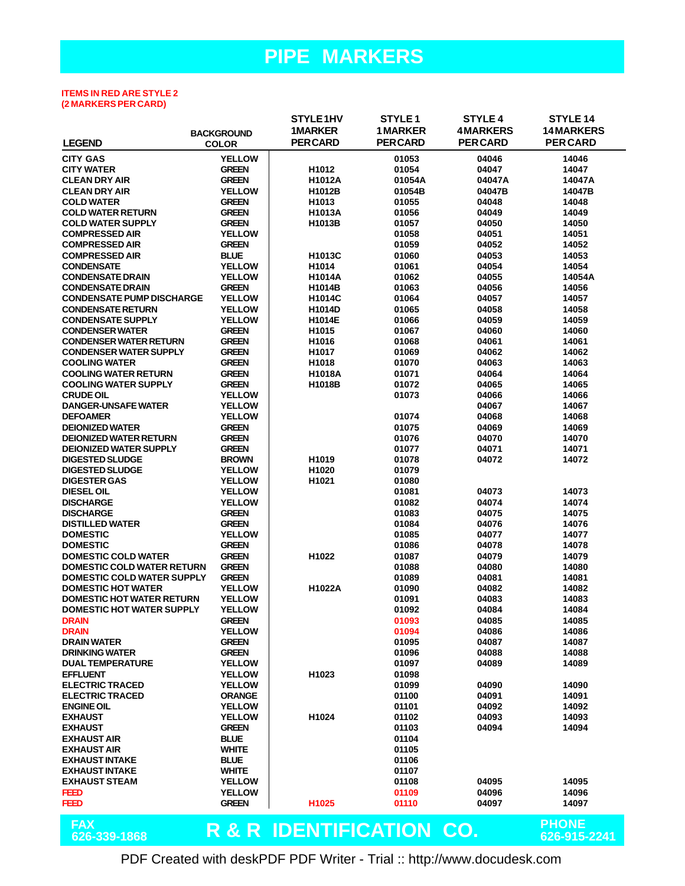#### **ITEMS IN RED ARE STYLE 2 (2 MARKERS PER CARD)**

|                                                                |                                | STYLE 1HV                           | STYLE <sub>1</sub> | <b>STYLE 4</b>  | <b>STYLE 14</b>              |
|----------------------------------------------------------------|--------------------------------|-------------------------------------|--------------------|-----------------|------------------------------|
|                                                                | <b>BACKGROUND</b>              | <b>1MARKER</b>                      | <b>1MARKER</b>     | <b>4MARKERS</b> | <b>14MARKERS</b>             |
| <b>LEGEND</b>                                                  | <b>COLOR</b>                   | <b>PERCARD</b>                      | <b>PERCARD</b>     | <b>PER CARD</b> | <b>PER CARD</b>              |
| <b>CITY GAS</b>                                                | <b>YELLOW</b>                  |                                     | 01053              | 04046           | 14046                        |
| <b>CITY WATER</b>                                              | <b>GREEN</b>                   | H1012                               | 01054              | 04047           | 14047                        |
| <b>CLEAN DRY AIR</b>                                           | <b>GREEN</b>                   | H1012A                              | 01054A             | 04047A          | 14047A                       |
| <b>CLEAN DRY AIR</b>                                           | <b>YELLOW</b>                  | H1012B                              | 01054B             | 04047B          | 14047B                       |
| <b>COLD WATER</b>                                              | <b>GREEN</b>                   | H <sub>1013</sub>                   | 01055              | 04048           | 14048                        |
| <b>COLD WATER RETURN</b>                                       | <b>GREEN</b>                   | H1013A                              | 01056              | 04049           | 14049                        |
| <b>COLD WATER SUPPLY</b>                                       | <b>GREEN</b>                   | H <sub>1013</sub> B                 | 01057              | 04050           | 14050                        |
| <b>COMPRESSED AIR</b>                                          | <b>YELLOW</b>                  |                                     | 01058              | 04051           | 14051                        |
| <b>COMPRESSED AIR</b>                                          | <b>GREEN</b>                   |                                     | 01059              | 04052           | 14052                        |
| <b>COMPRESSED AIR</b>                                          | <b>BLUE</b>                    | H1013C                              | 01060              | 04053           | 14053                        |
| <b>CONDENSATE</b>                                              | <b>YELLOW</b>                  | H1014                               | 01061              | 04054           | 14054                        |
| <b>CONDENSATE DRAIN</b>                                        | <b>YELLOW</b>                  | <b>H1014A</b>                       | 01062              | 04055           | 14054A                       |
| <b>CONDENSATE DRAIN</b>                                        |                                |                                     |                    |                 |                              |
| <b>CONDENSATE PUMP DISCHARGE</b>                               | <b>GREEN</b><br><b>YELLOW</b>  | H1014B<br>H1014C                    | 01063<br>01064     | 04056<br>04057  | 14056<br>14057               |
|                                                                |                                |                                     |                    |                 |                              |
| <b>CONDENSATE RETURN</b>                                       | <b>YELLOW</b><br><b>YELLOW</b> | H1014D                              | 01065<br>01066     | 04058           | 14058<br>14059               |
| <b>CONDENSATE SUPPLY</b>                                       |                                | H1014E                              |                    | 04059           |                              |
| <b>CONDENSER WATER</b>                                         | <b>GREEN</b>                   | H1015                               | 01067              | 04060           | 14060                        |
| <b>CONDENSER WATER RETURN</b><br><b>CONDENSER WATER SUPPLY</b> | <b>GREEN</b>                   | H1016<br>H1017                      | 01068              | 04061           | 14061                        |
|                                                                | <b>GREEN</b>                   |                                     | 01069              | 04062           | 14062                        |
| <b>COOLING WATER</b>                                           | <b>GREEN</b>                   | H1018                               | 01070              | 04063           | 14063                        |
| <b>COOLING WATER RETURN</b>                                    | <b>GREEN</b>                   | H1018A                              | 01071              | 04064           | 14064                        |
| <b>COOLING WATER SUPPLY</b>                                    | <b>GREEN</b>                   | H1018B                              | 01072              | 04065           | 14065                        |
| <b>CRUDE OIL</b>                                               | <b>YELLOW</b>                  |                                     | 01073              | 04066           | 14066                        |
| <b>DANGER-UNSAFE WATER</b>                                     | <b>YELLOW</b><br><b>YELLOW</b> |                                     |                    | 04067           | 14067                        |
| <b>DEFOAMER</b><br><b>DEIONIZED WATER</b>                      |                                |                                     | 01074              | 04068           | 14068                        |
|                                                                | <b>GREEN</b>                   |                                     | 01075              | 04069           | 14069                        |
| <b>DEIONIZED WATER RETURN</b>                                  | <b>GREEN</b>                   |                                     | 01076              | 04070           | 14070                        |
| <b>DEIONIZED WATER SUPPLY</b>                                  | <b>GREEN</b>                   |                                     | 01077              | 04071           | 14071                        |
| <b>DIGESTED SLUDGE</b>                                         | <b>BROWN</b>                   | H1019                               | 01078              | 04072           | 14072                        |
| <b>DIGESTED SLUDGE</b>                                         | <b>YELLOW</b>                  | H1020                               | 01079              |                 |                              |
| <b>DIGESTER GAS</b>                                            | <b>YELLOW</b>                  | H1021                               | 01080              |                 |                              |
| <b>DIESEL OIL</b>                                              | <b>YELLOW</b>                  |                                     | 01081              | 04073           | 14073                        |
| <b>DISCHARGE</b>                                               | <b>YELLOW</b>                  |                                     | 01082              | 04074           | 14074                        |
| <b>DISCHARGE</b>                                               | <b>GREEN</b>                   |                                     | 01083              | 04075           | 14075                        |
| <b>DISTILLED WATER</b>                                         | <b>GREEN</b>                   |                                     | 01084<br>01085     | 04076           | 14076                        |
| <b>DOMESTIC</b>                                                | <b>YELLOW</b>                  |                                     |                    | 04077           | 14077                        |
| <b>DOMESTIC</b><br><b>DOMESTIC COLD WATER</b>                  | <b>GREEN</b>                   |                                     | 01086              | 04078           | 14078                        |
|                                                                | <b>GREEN</b>                   | H1022                               | 01087              | 04079           | 14079                        |
| <b>DOMESTIC COLD WATER RETURN</b>                              | <b>GREEN</b>                   |                                     | 01088              | 04080           | 14080                        |
| <b>DOMESTIC COLD WATER SUPPLY</b>                              | <b>GREEN</b>                   |                                     | 01089              | 04081           | 14081                        |
| <b>DOMESTIC HOT WATER</b>                                      | <b>YELLOW</b>                  | H1022A                              | 01090              | 04082           | 14082                        |
| <b>DOMESTIC HOT WATER RETURN</b>                               | <b>YELLOW</b>                  |                                     | 01091              | 04083           | 14083                        |
| <b>DOMESTIC HOT WATER SUPPLY</b>                               | <b>YELLOW</b>                  |                                     | 01092              | 04084           | 14084                        |
| <b>DRAIN</b>                                                   | <b>GREEN</b>                   |                                     | 01093              | 04085           | 14085                        |
| <b>DRAIN</b>                                                   | <b>YELLOW</b>                  |                                     | 01094              | 04086           | 14086                        |
| <b>DRAIN WATER</b>                                             | <b>GREEN</b>                   |                                     | 01095              | 04087           | 14087                        |
| <b>DRINKING WATER</b>                                          | <b>GREEN</b>                   |                                     | 01096              | 04088           | 14088                        |
| <b>DUAL TEMPERATURE</b>                                        | <b>YELLOW</b>                  |                                     | 01097              | 04089           | 14089                        |
| <b>EFFLUENT</b>                                                | <b>YELLOW</b>                  | H1023                               | 01098              |                 |                              |
| <b>ELECTRIC TRACED</b>                                         | <b>YELLOW</b>                  |                                     | 01099              | 04090           | 14090                        |
| <b>ELECTRIC TRACED</b>                                         | <b>ORANGE</b>                  |                                     | 01100              | 04091           | 14091                        |
| <b>ENGINE OIL</b>                                              | <b>YELLOW</b>                  |                                     | 01101              | 04092           | 14092                        |
| <b>EXHAUST</b>                                                 | <b>YELLOW</b>                  | H1024                               | 01102              | 04093           | 14093                        |
| <b>EXHAUST</b>                                                 | <b>GREEN</b>                   |                                     | 01103              | 04094           | 14094                        |
| <b>EXHAUST AIR</b>                                             | <b>BLUE</b>                    |                                     | 01104              |                 |                              |
| <b>EXHAUST AIR</b>                                             | <b>WHITE</b>                   |                                     | 01105              |                 |                              |
| <b>EXHAUST INTAKE</b>                                          | <b>BLUE</b>                    |                                     | 01106              |                 |                              |
| <b>EXHAUST INTAKE</b>                                          | <b>WHITE</b>                   |                                     | 01107              |                 |                              |
| <b>EXHAUST STEAM</b>                                           | <b>YELLOW</b>                  |                                     | 01108              | 04095           | 14095                        |
| <b>FEED</b>                                                    | <b>YELLOW</b>                  |                                     | 01109              | 04096           | 14096                        |
| <b>FEED</b>                                                    | <b>GREEN</b>                   | H1025                               | 01110              | 04097           | 14097                        |
| <b>FAX</b><br>626-339-1868                                     |                                | <b>R &amp; R IDENTIFICATION CO.</b> |                    |                 | <b>PHONE</b><br>626-915-2241 |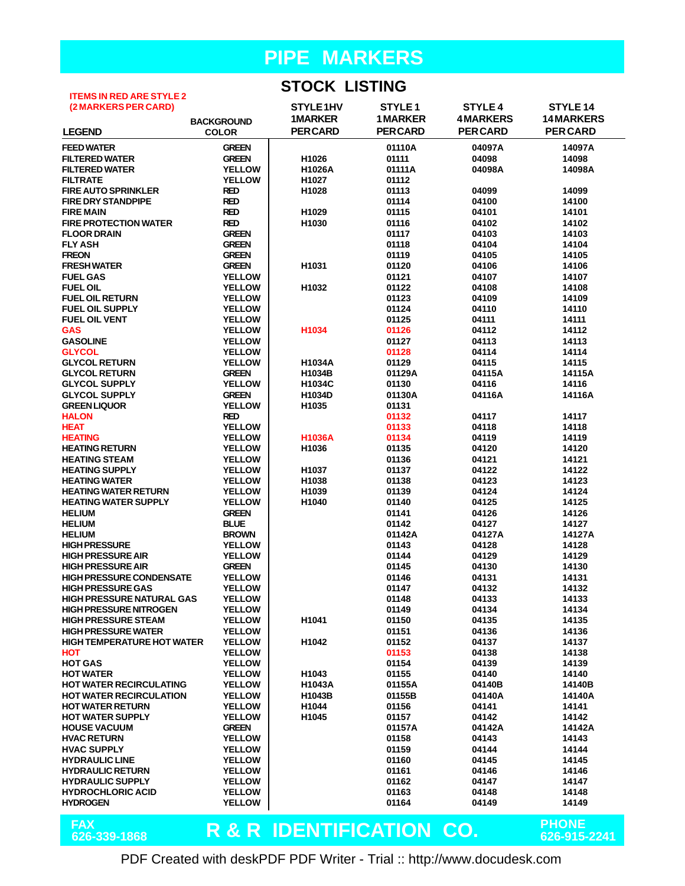#### **STOCK LISTING**

| <b>ITEMS IN RED ARE STYLE 2</b>   |                   | 9 I YYR LIYTHY                      |                    |                 |                              |
|-----------------------------------|-------------------|-------------------------------------|--------------------|-----------------|------------------------------|
| (2 MARKERS PER CARD)              |                   | STYLE1HV                            | STYLE <sub>1</sub> | <b>STYLE 4</b>  | STYLE 14                     |
|                                   | <b>BACKGROUND</b> | <b>1MARKER</b>                      | <b>1MARKER</b>     | <b>4MARKERS</b> | <b>14MARKERS</b>             |
| <b>LEGEND</b>                     | <b>COLOR</b>      | <b>PERCARD</b>                      | <b>PERCARD</b>     | <b>PERCARD</b>  | <b>PER CARD</b>              |
|                                   |                   |                                     |                    |                 |                              |
| <b>FEED WATER</b>                 | <b>GREEN</b>      |                                     | 01110A             | 04097A          | 14097A                       |
| <b>FILTERED WATER</b>             | <b>GREEN</b>      | H1026                               | 01111              | 04098           | 14098                        |
| <b>FILTERED WATER</b>             | <b>YELLOW</b>     | H1026A                              | 01111A             | 04098A          | 14098A                       |
| <b>FILTRATE</b>                   | <b>YELLOW</b>     | H1027                               | 01112              |                 |                              |
| <b>FIRE AUTO SPRINKLER</b>        | <b>RED</b>        | H1028                               | 01113              | 04099           | 14099                        |
| <b>FIRE DRY STANDPIPE</b>         | <b>RED</b>        |                                     | 01114              | 04100           | 14100                        |
| <b>FIRE MAIN</b>                  | <b>RED</b>        | H1029                               | 01115              | 04101           | 14101                        |
| <b>FIRE PROTECTION WATER</b>      | <b>RED</b>        | H1030                               | 01116              | 04102           | 14102                        |
| <b>FLOOR DRAIN</b>                | <b>GREEN</b>      |                                     | 01117              | 04103           | 14103                        |
| <b>FLY ASH</b>                    | <b>GREEN</b>      |                                     | 01118              | 04104           | 14104                        |
| <b>FREON</b>                      | <b>GREEN</b>      |                                     | 01119              | 04105           | 14105                        |
| <b>FRESH WATER</b>                | <b>GREEN</b>      | H1031                               | 01120              | 04106           | 14106                        |
| <b>FUEL GAS</b>                   | <b>YELLOW</b>     |                                     | 01121              | 04107           | 14107                        |
| <b>FUEL OIL</b>                   | <b>YELLOW</b>     | H1032                               | 01122              | 04108           | 14108                        |
| <b>FUEL OIL RETURN</b>            | <b>YELLOW</b>     |                                     | 01123              | 04109           | 14109                        |
| <b>FUEL OIL SUPPLY</b>            | <b>YELLOW</b>     |                                     | 01124              | 04110           | 14110                        |
| <b>FUEL OIL VENT</b>              | <b>YELLOW</b>     |                                     | 01125              | 04111           | 14111                        |
| <b>GAS</b>                        | <b>YELLOW</b>     | H1034                               | 01126              | 04112           | 14112                        |
| <b>GASOLINE</b>                   | <b>YELLOW</b>     |                                     | 01127              | 04113           | 14113                        |
| <b>GLYCOL</b>                     | <b>YELLOW</b>     |                                     | 01128              | 04114           | 14114                        |
| <b>GLYCOL RETURN</b>              | <b>YELLOW</b>     | H1034A                              | 01129              | 04115           | 14115                        |
| <b>GLYCOL RETURN</b>              | <b>GREEN</b>      | H1034B                              | 01129A             | 04115A          | 14115A                       |
| <b>GLYCOL SUPPLY</b>              | <b>YELLOW</b>     | H1034C                              | 01130              | 04116           | 14116                        |
| <b>GLYCOL SUPPLY</b>              | <b>GREEN</b>      | H1034D                              | 01130A             | 04116A          | 14116A                       |
| <b>GREEN LIQUOR</b>               | <b>YELLOW</b>     | H1035                               | 01131              |                 |                              |
| <b>HALON</b>                      | <b>RED</b>        |                                     | 01132              | 04117           | 14117                        |
| <b>HEAT</b>                       | <b>YELLOW</b>     |                                     | 01133              | 04118           | 14118                        |
| <b>HEATING</b>                    | <b>YELLOW</b>     | <b>H1036A</b>                       | 01134              | 04119           | 14119                        |
| <b>HEATING RETURN</b>             | <b>YELLOW</b>     | H1036                               | 01135              | 04120           | 14120                        |
| <b>HEATING STEAM</b>              | <b>YELLOW</b>     |                                     | 01136              | 04121           | 14121                        |
| <b>HEATING SUPPLY</b>             | <b>YELLOW</b>     | H1037                               | 01137              | 04122           | 14122                        |
| <b>HEATING WATER</b>              | <b>YELLOW</b>     | H1038                               | 01138              | 04123           | 14123                        |
| <b>HEATING WATER RETURN</b>       | <b>YELLOW</b>     | H1039                               | 01139              | 04124           | 14124                        |
| <b>HEATING WATER SUPPLY</b>       | <b>YELLOW</b>     | H1040                               | 01140              | 04125           | 14125                        |
| <b>HELIUM</b>                     | <b>GREEN</b>      |                                     | 01141              | 04126           | 14126                        |
| <b>HELIUM</b>                     | <b>BLUE</b>       |                                     | 01142              | 04127           | 14127                        |
| <b>HELIUM</b>                     | <b>BROWN</b>      |                                     | 01142A             | 04127A          | 14127A                       |
| <b>HIGH PRESSURE</b>              | <b>YELLOW</b>     |                                     | 01143              | 04128           | 14128                        |
| <b>HIGH PRESSURE AIR</b>          | <b>YELLOW</b>     |                                     | 01144              | 04129           | 14129                        |
| <b>HIGH PRESSURE AIR</b>          | <b>GREEN</b>      |                                     | 01145              | 04130           | 14130                        |
| <b>HIGH PRESSURE CONDENSATE</b>   | <b>YELLOW</b>     |                                     | 01146              | 04131           | 14131                        |
| <b>HIGH PRESSURE GAS</b>          | <b>YELLOW</b>     |                                     | 01147              | 04132           | 14132                        |
| <b>HIGH PRESSURE NATURAL GAS</b>  | <b>YELLOW</b>     |                                     | 01148              | 04133           | 14133                        |
| <b>HIGH PRESSURE NITROGEN</b>     | <b>YELLOW</b>     |                                     | 01149              | 04134           | 14134                        |
| <b>HIGH PRESSURE STEAM</b>        | <b>YELLOW</b>     | H1041                               | 01150              | 04135           | 14135                        |
| <b>HIGH PRESSURE WATER</b>        | <b>YELLOW</b>     |                                     | 01151              | 04136           | 14136                        |
| <b>HIGH TEMPERATURE HOT WATER</b> | <b>YELLOW</b>     | H1042                               | 01152              | 04137           | 14137                        |
| <b>HOT</b>                        | <b>YELLOW</b>     |                                     | 01153              | 04138           | 14138                        |
| <b>HOT GAS</b>                    | <b>YELLOW</b>     |                                     | 01154              | 04139           | 14139                        |
| <b>HOT WATER</b>                  | <b>YELLOW</b>     | H1043                               | 01155              | 04140           | 14140                        |
| <b>HOT WATER RECIRCULATING</b>    | <b>YELLOW</b>     | H1043A                              | 01155A             | 04140B          | 14140B                       |
| <b>HOT WATER RECIRCULATION</b>    | <b>YELLOW</b>     | H1043B                              | 01155B             | 04140A          | 14140A                       |
| <b>HOT WATER RETURN</b>           | <b>YELLOW</b>     | H1044                               | 01156              | 04141           | 14141                        |
| <b>HOT WATER SUPPLY</b>           | <b>YELLOW</b>     | H1045                               | 01157              | 04142           | 14142                        |
| <b>HOUSE VACUUM</b>               | <b>GREEN</b>      |                                     | 01157A             | 04142A          | 14142A                       |
| <b>HVAC RETURN</b>                | <b>YELLOW</b>     |                                     | 01158              | 04143           | 14143                        |
| <b>HVAC SUPPLY</b>                | <b>YELLOW</b>     |                                     | 01159              | 04144           | 14144                        |
| <b>HYDRAULIC LINE</b>             | <b>YELLOW</b>     |                                     | 01160              | 04145           | 14145                        |
| <b>HYDRAULIC RETURN</b>           | <b>YELLOW</b>     |                                     | 01161              | 04146           | 14146                        |
| <b>HYDRAULIC SUPPLY</b>           | <b>YELLOW</b>     |                                     | 01162              | 04147           | 14147                        |
| <b>HYDROCHLORIC ACID</b>          | <b>YELLOW</b>     |                                     | 01163              | 04148           | 14148                        |
| <b>HYDROGEN</b>                   | <b>YELLOW</b>     |                                     | 01164              | 04149           | 14149                        |
|                                   |                   |                                     |                    |                 |                              |
| <b>FAX</b><br>626-339-1868        |                   | <b>R &amp; R IDENTIFICATION CO.</b> |                    |                 | <b>PHONE</b><br>626-915-2241 |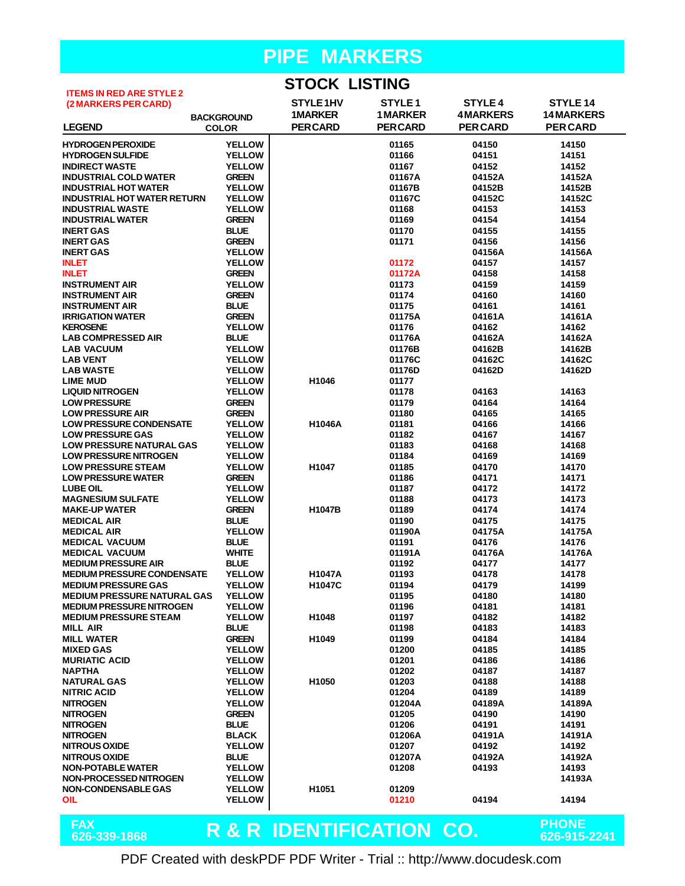## **STOCK LISTING**

| <b>ITEMS IN RED ARE STYLE 2</b>    |                   | טוווטוב חטטוט                       |                    |                 |                  |
|------------------------------------|-------------------|-------------------------------------|--------------------|-----------------|------------------|
| (2 MARKERS PER CARD)               |                   | STYLE <sub>1HV</sub>                | STYLE <sub>1</sub> | <b>STYLE 4</b>  | STYLE 14         |
|                                    |                   | <b>1MARKER</b>                      | <b>1 MARKER</b>    | <b>4MARKERS</b> | <b>14MARKERS</b> |
|                                    | <b>BACKGROUND</b> | <b>PER CARD</b>                     |                    |                 |                  |
| <b>LEGEND</b>                      | <b>COLOR</b>      |                                     | <b>PERCARD</b>     | <b>PER CARD</b> | <b>PER CARD</b>  |
| <b>HYDROGEN PEROXIDE</b>           | <b>YELLOW</b>     |                                     | 01165              | 04150           | 14150            |
| <b>HYDROGEN SULFIDE</b>            | <b>YELLOW</b>     |                                     | 01166              | 04151           | 14151            |
| <b>INDIRECT WASTE</b>              | <b>YELLOW</b>     |                                     | 01167              | 04152           | 14152            |
|                                    | <b>GREEN</b>      |                                     |                    |                 |                  |
| <b>INDUSTRIAL COLD WATER</b>       |                   |                                     | 01167A             | 04152A          | 14152A           |
| <b>INDUSTRIAL HOT WATER</b>        | <b>YELLOW</b>     |                                     | 01167B             | 04152B          | 14152B           |
| <b>INDUSTRIAL HOT WATER RETURN</b> | <b>YELLOW</b>     |                                     | 01167C             | 04152C          | 14152C           |
| <b>INDUSTRIAL WASTE</b>            | <b>YELLOW</b>     |                                     | 01168              | 04153           | 14153            |
| <b>INDUSTRIAL WATER</b>            | <b>GREEN</b>      |                                     | 01169              | 04154           | 14154            |
| <b>INERT GAS</b>                   | <b>BLUE</b>       |                                     | 01170              | 04155           | 14155            |
| <b>INERT GAS</b>                   | <b>GREEN</b>      |                                     | 01171              | 04156           | 14156            |
| <b>INERT GAS</b>                   | <b>YELLOW</b>     |                                     |                    | 04156A          | 14156A           |
| <b>INLET</b>                       | <b>YELLOW</b>     |                                     | 01172              | 04157           | 14157            |
| <b>INLET</b>                       | <b>GREEN</b>      |                                     | 01172A             | 04158           | 14158            |
|                                    |                   |                                     |                    |                 |                  |
| <b>INSTRUMENT AIR</b>              | <b>YELLOW</b>     |                                     | 01173              | 04159           | 14159            |
| <b>INSTRUMENT AIR</b>              | <b>GREEN</b>      |                                     | 01174              | 04160           | 14160            |
| <b>INSTRUMENT AIR</b>              | <b>BLUE</b>       |                                     | 01175              | 04161           | 14161            |
| <b>IRRIGATION WATER</b>            | <b>GREEN</b>      |                                     | 01175A             | 04161A          | 14161A           |
| <b>KEROSENE</b>                    | <b>YELLOW</b>     |                                     | 01176              | 04162           | 14162            |
| <b>LAB COMPRESSED AIR</b>          | <b>BLUE</b>       |                                     | 01176A             | 04162A          | 14162A           |
| <b>LAB VACUUM</b>                  | <b>YELLOW</b>     |                                     | 01176B             | 04162B          | 14162B           |
| <b>LAB VENT</b>                    | <b>YELLOW</b>     |                                     | 01176C             | 04162C          | 14162C           |
|                                    |                   |                                     |                    |                 |                  |
| <b>LAB WASTE</b>                   | <b>YELLOW</b>     |                                     | 01176D             | 04162D          | 14162D           |
| <b>LIME MUD</b>                    | <b>YELLOW</b>     | H1046                               | 01177              |                 |                  |
| <b>LIQUID NITROGEN</b>             | <b>YELLOW</b>     |                                     | 01178              | 04163           | 14163            |
| <b>LOW PRESSURE</b>                | <b>GREEN</b>      |                                     | 01179              | 04164           | 14164            |
| <b>LOW PRESSURE AIR</b>            | <b>GREEN</b>      |                                     | 01180              | 04165           | 14165            |
| <b>LOW PRESSURE CONDENSATE</b>     | <b>YELLOW</b>     | H1046A                              | 01181              | 04166           | 14166            |
| <b>LOW PRESSURE GAS</b>            | <b>YELLOW</b>     |                                     | 01182              | 04167           | 14167            |
| <b>LOW PRESSURE NATURAL GAS</b>    | <b>YELLOW</b>     |                                     | 01183              | 04168           | 14168            |
| <b>LOW PRESSURE NITROGEN</b>       | <b>YELLOW</b>     |                                     | 01184              | 04169           | 14169            |
|                                    |                   |                                     |                    |                 |                  |
| <b>LOW PRESSURE STEAM</b>          | <b>YELLOW</b>     | H1047                               | 01185              | 04170           | 14170            |
| <b>LOW PRESSURE WATER</b>          | <b>GREEN</b>      |                                     | 01186              | 04171           | 14171            |
| <b>LUBE OIL</b>                    | <b>YELLOW</b>     |                                     | 01187              | 04172           | 14172            |
| <b>MAGNESIUM SULFATE</b>           | <b>YELLOW</b>     |                                     | 01188              | 04173           | 14173            |
| <b>MAKE-UP WATER</b>               | <b>GREEN</b>      | H1047B                              | 01189              | 04174           | 14174            |
| <b>MEDICAL AIR</b>                 | <b>BLUE</b>       |                                     | 01190              | 04175           | 14175            |
| <b>MEDICAL AIR</b>                 | <b>YELLOW</b>     |                                     | 01190A             | 04175A          | 14175A           |
| <b>MEDICAL VACUUM</b>              | <b>BLUE</b>       |                                     | 01191              | 04176           | 14176            |
|                                    |                   |                                     |                    | 04176A          |                  |
| <b>MEDICAL VACUUM</b>              | <b>WHITE</b>      |                                     | 01191A             |                 | 14176A           |
| <b>MEDIUM PRESSURE AIR</b>         | <b>BLUE</b>       |                                     | 01192              | 04177           | 14177            |
| <b>MEDIUM PRESSURE CONDENSATE</b>  | <b>YELLOW</b>     | <b>H1047A</b>                       | 01193              | 04178           | 14178            |
| <b>MEDIUM PRESSURE GAS</b>         | <b>YELLOW</b>     | H1047C                              | 01194              | 04179           | 14199            |
| <b>MEDIUM PRESSURE NATURAL GAS</b> | <b>YELLOW</b>     |                                     | 01195              | 04180           | 14180            |
| <b>MEDIUM PRESSURE NITROGEN</b>    | <b>YELLOW</b>     |                                     | 01196              | 04181           | 14181            |
| <b>MEDIUM PRESSURE STEAM</b>       | <b>YELLOW</b>     | H1048                               | 01197              | 04182           | 14182            |
| <b>MILL AIR</b>                    | <b>BLUE</b>       |                                     | 01198              | 04183           | 14183            |
| <b>MILL WATER</b>                  | <b>GREEN</b>      | H <sub>1049</sub>                   | 01199              | 04184           | 14184            |
|                                    |                   |                                     |                    |                 |                  |
| <b>MIXED GAS</b>                   | <b>YELLOW</b>     |                                     | 01200              | 04185           | 14185            |
| <b>MURIATIC ACID</b>               | <b>YELLOW</b>     |                                     | 01201              | 04186           | 14186            |
| <b>NAPTHA</b>                      | <b>YELLOW</b>     |                                     | 01202              | 04187           | 14187            |
| <b>NATURAL GAS</b>                 | <b>YELLOW</b>     | H1050                               | 01203              | 04188           | 14188            |
| <b>NITRIC ACID</b>                 | <b>YELLOW</b>     |                                     | 01204              | 04189           | 14189            |
| <b>NITROGEN</b>                    | <b>YELLOW</b>     |                                     | 01204A             | 04189A          | 14189A           |
| <b>NITROGEN</b>                    | <b>GREEN</b>      |                                     | 01205              | 04190           | 14190            |
| <b>NITROGEN</b>                    | <b>BLUE</b>       |                                     | 01206              | 04191           | 14191            |
| <b>NITROGEN</b>                    | <b>BLACK</b>      |                                     | 01206A             | 04191A          | 14191A           |
|                                    |                   |                                     |                    |                 |                  |
| <b>NITROUS OXIDE</b>               | <b>YELLOW</b>     |                                     | 01207              | 04192           | 14192            |
| <b>NITROUS OXIDE</b>               | <b>BLUE</b>       |                                     | 01207A             | 04192A          | 14192A           |
| <b>NON-POTABLE WATER</b>           | <b>YELLOW</b>     |                                     | 01208              | 04193           | 14193            |
| <b>NON-PROCESSED NITROGEN</b>      | <b>YELLOW</b>     |                                     |                    |                 | 14193A           |
| <b>NON-CONDENSABLE GAS</b>         | <b>YELLOW</b>     | H1051                               | 01209              |                 |                  |
| OIL                                | <b>YELLOW</b>     |                                     | 01210              | 04194           | 14194            |
|                                    |                   |                                     |                    |                 |                  |
|                                    |                   |                                     |                    |                 |                  |
| <b>FAX</b>                         |                   | <b>R &amp; R IDENTIFICATION CO.</b> |                    |                 | <b>PHONE</b>     |
| 626-339-1868                       |                   |                                     |                    |                 | 626-915-2241     |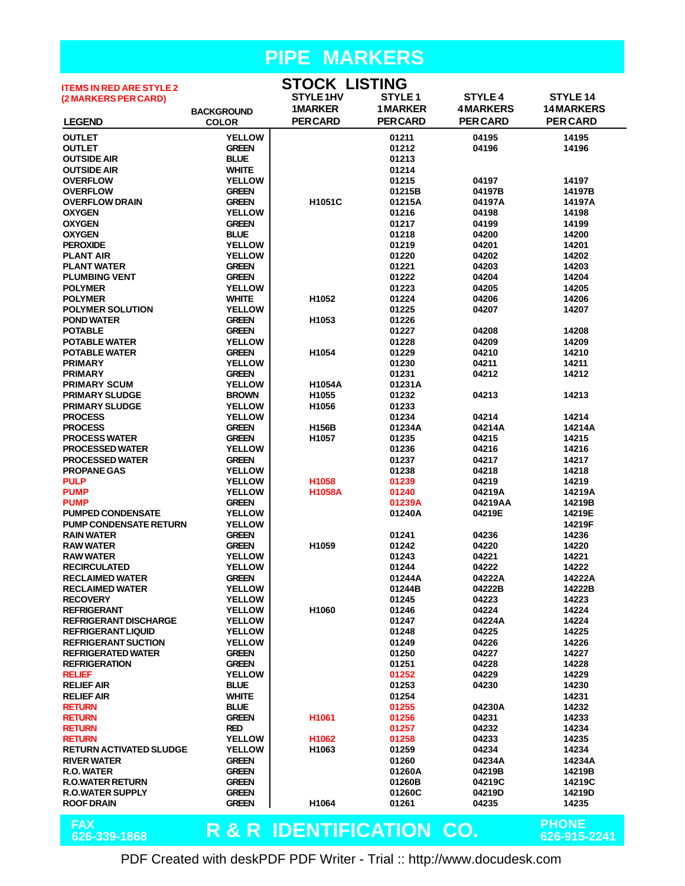#### **PIPE MARKERS STOCK LISTING**

| <b>ITEMS IN RED ARE STYLE 2</b> |                             | SIUCK LISIING            |                |                 |                              |
|---------------------------------|-----------------------------|--------------------------|----------------|-----------------|------------------------------|
| (2 MARKERS PER CARD)            |                             | STYLE 1HV                | <b>STYLE1</b>  | <b>STYLE 4</b>  | STYLE 14                     |
|                                 | <b>BACKGROUND</b>           | <b>1MARKER</b>           | <b>1MARKER</b> | <b>4MARKERS</b> | <b>14 MARKERS</b>            |
| <b>LEGEND</b>                   | <b>COLOR</b>                | <b>PER CARD</b>          | <b>PERCARD</b> | <b>PER CARD</b> | <b>PERCARD</b>               |
| <b>OUTLET</b>                   | <b>YELLOW</b>               |                          | 01211          | 04195           | 14195                        |
| <b>OUTLET</b>                   | <b>GREEN</b>                |                          | 01212          | 04196           | 14196                        |
| <b>OUTSIDE AIR</b>              | <b>BLUE</b>                 |                          | 01213          |                 |                              |
|                                 | <b>WHITE</b>                |                          |                |                 |                              |
| <b>OUTSIDE AIR</b>              | <b>YELLOW</b>               |                          | 01214<br>01215 | 04197           | 14197                        |
| <b>OVERFLOW</b>                 |                             |                          |                |                 |                              |
| <b>OVERFLOW</b>                 | <b>GREEN</b>                |                          | 01215B         | 04197B          | 14197B                       |
| <b>OVERFLOW DRAIN</b>           | <b>GREEN</b>                | H1051C                   | 01215A         | 04197A          | 14197A                       |
| <b>OXYGEN</b>                   | <b>YELLOW</b>               |                          | 01216          | 04198           | 14198                        |
| <b>OXYGEN</b>                   | <b>GREEN</b><br><b>BLUE</b> |                          | 01217<br>01218 | 04199<br>04200  | 14199<br>14200               |
| <b>OXYGEN</b>                   |                             |                          |                |                 |                              |
| <b>PEROXIDE</b>                 | <b>YELLOW</b>               |                          | 01219          | 04201           | 14201                        |
| <b>PLANT AIR</b>                | <b>YELLOW</b>               |                          | 01220          | 04202           | 14202                        |
| <b>PLANT WATER</b>              | <b>GREEN</b>                |                          | 01221          | 04203           | 14203                        |
| <b>PLUMBING VENT</b>            | <b>GREEN</b>                |                          | 01222          | 04204           | 14204                        |
| <b>POLYMER</b>                  | <b>YELLOW</b>               |                          | 01223          | 04205           | 14205                        |
| <b>POLYMER</b>                  | <b>WHITE</b>                | H1052                    | 01224          | 04206           | 14206                        |
| <b>POLYMER SOLUTION</b>         | <b>YELLOW</b>               |                          | 01225          | 04207           | 14207                        |
| <b>POND WATER</b>               | <b>GREEN</b>                | H1053                    | 01226          |                 |                              |
| <b>POTABLE</b>                  | <b>GREEN</b>                |                          | 01227          | 04208           | 14208                        |
| <b>POTABLE WATER</b>            | <b>YELLOW</b>               |                          | 01228          | 04209           | 14209                        |
| <b>POTABLE WATER</b>            | <b>GREEN</b>                | H1054                    | 01229          | 04210           | 14210                        |
| <b>PRIMARY</b>                  | <b>YELLOW</b>               |                          | 01230          | 04211           | 14211                        |
| <b>PRIMARY</b>                  | <b>GREEN</b>                |                          | 01231          | 04212           | 14212                        |
| <b>PRIMARY SCUM</b>             | <b>YELLOW</b>               | <b>H1054A</b>            | 01231A         |                 |                              |
| <b>PRIMARY SLUDGE</b>           | <b>BROWN</b>                | H1055                    | 01232          | 04213           | 14213                        |
| <b>PRIMARY SLUDGE</b>           | <b>YELLOW</b>               | H1056                    | 01233          |                 |                              |
| <b>PROCESS</b>                  | <b>YELLOW</b>               |                          | 01234          | 04214           | 14214                        |
| <b>PROCESS</b>                  | <b>GREEN</b>                | H156B                    | 01234A         | 04214A          | 14214A                       |
| <b>PROCESS WATER</b>            | <b>GREEN</b>                | H1057                    | 01235          | 04215           | 14215                        |
| <b>PROCESSED WATER</b>          | <b>YELLOW</b>               |                          | 01236          | 04216           | 14216                        |
| <b>PROCESSED WATER</b>          | <b>GREEN</b>                |                          | 01237          | 04217           | 14217                        |
| <b>PROPANE GAS</b>              | <b>YELLOW</b>               |                          | 01238          | 04218           | 14218                        |
| <b>PULP</b>                     | <b>YELLOW</b>               | H1058                    | 01239          | 04219           | 14219                        |
| <b>PUMP</b>                     | <b>YELLOW</b>               | <b>H1058A</b>            | 01240          | 04219A          | 14219A                       |
| <b>PUMP</b>                     | <b>GREEN</b>                |                          | 01239A         | 04219AA         | 14219B                       |
| <b>PUMPED CONDENSATE</b>        | <b>YELLOW</b>               |                          | 01240A         | 04219E          | 14219E                       |
| <b>PUMP CONDENSATE RETURN</b>   | <b>YELLOW</b>               |                          |                |                 | 14219F                       |
| <b>RAIN WATER</b>               | <b>GREEN</b>                |                          | 01241          | 04236           | 14236                        |
| <b>RAW WATER</b>                | <b>GREEN</b>                | H1059                    | 01242          | 04220           | 14220                        |
| <b>RAW WATER</b>                | <b>YELLOW</b>               |                          | 01243          | 04221           | 14221                        |
| <b>RECIRCULATED</b>             | <b>YELLOW</b>               |                          | 01244          | 04222           | 14222                        |
| <b>RECLAIMED WATER</b>          | <b>GREEN</b>                |                          | 01244A         | 04222A          | 14222A                       |
| <b>RECLAIMED WATER</b>          | <b>YELLOW</b>               |                          | 01244B         | 04222B          | 14222B                       |
| <b>RECOVERY</b>                 | <b>YELLOW</b>               |                          | 01245          | 04223           | 14223                        |
| <b>REFRIGERANT</b>              | <b>YELLOW</b>               | H1060                    | 01246          | 04224           | 14224                        |
| <b>REFRIGERANT DISCHARGE</b>    | <b>YELLOW</b>               |                          | 01247          | 04224A          | 14224                        |
| <b>REFRIGERANT LIQUID</b>       | <b>YELLOW</b>               |                          | 01248          | 04225           | 14225                        |
| <b>REFRIGERANT SUCTION</b>      | <b>YELLOW</b>               |                          | 01249          | 04226           | 14226                        |
| <b>REFRIGERATED WATER</b>       | <b>GREEN</b>                |                          | 01250          | 04227           | 14227                        |
| <b>REFRIGERATION</b>            | <b>GREEN</b>                |                          | 01251          | 04228           | 14228                        |
| <b>RELIEF</b>                   | <b>YELLOW</b>               |                          | 01252          | 04229           | 14229                        |
| <b>RELIEF AIR</b>               | <b>BLUE</b>                 |                          | 01253          | 04230           | 14230                        |
| <b>RELIEF AIR</b>               | <b>WHITE</b>                |                          | 01254          |                 | 14231                        |
| <b>RETURN</b>                   | <b>BLUE</b>                 |                          | 01255          | 04230A          | 14232                        |
| <b>RETURN</b>                   | <b>GREEN</b>                | H <sub>1061</sub>        | 01256          | 04231           | 14233                        |
| <b>RETURN</b>                   | <b>RED</b>                  |                          | 01257          | 04232           | 14234                        |
| <b>RETURN</b>                   | <b>YELLOW</b>               | H1062                    | 01258          | 04233           | 14235                        |
| <b>RETURN ACTIVATED SLUDGE</b>  | <b>YELLOW</b>               | H <sub>1063</sub>        | 01259          | 04234           | 14234                        |
| <b>RIVER WATER</b>              | <b>GREEN</b>                |                          | 01260          | 04234A          | 14234A                       |
| R.O. WATER                      | <b>GREEN</b>                |                          | 01260A         | 04219B          | 14219B                       |
| <b>R.O.WATER RETURN</b>         | <b>GREEN</b>                |                          | 01260B         | 04219C          | 14219C                       |
| <b>R.O.WATER SUPPLY</b>         | <b>GREEN</b>                |                          | 01260C         | 04219D          | 14219D                       |
| <b>ROOF DRAIN</b>               | <b>GREEN</b>                | H1064                    | 01261          | 04235           | 14235                        |
|                                 |                             |                          |                |                 |                              |
| <b>FAX</b><br>626-339-1868      |                             | R & R IDENTIFICATION CO. |                |                 | <b>PHONE</b><br>626-915-2241 |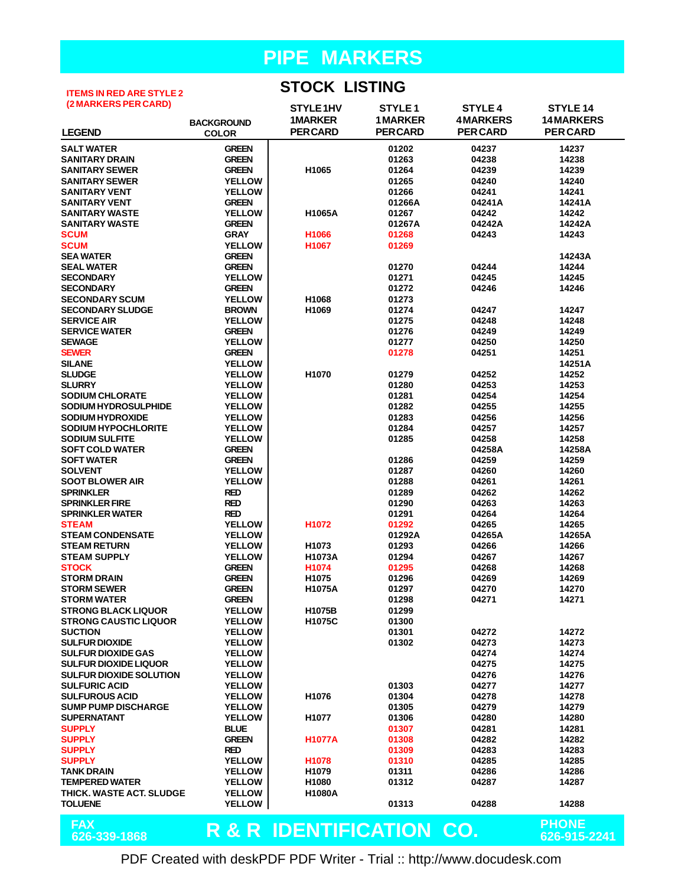#### **ITEMS IN RED ARE STYLE 2 (2 MARKERS PER CARD)**

**STOCK LISTING**

| (2 MARKERS PER CARD)               |                                | STYLE1HV                 | STYLE <sub>1</sub> | <b>STYLE 4</b>  | <b>STYLE 14</b>   |
|------------------------------------|--------------------------------|--------------------------|--------------------|-----------------|-------------------|
|                                    | <b>BACKGROUND</b>              | <b>1MARKER</b>           | <b>1MARKER</b>     | <b>4MARKERS</b> | <b>14 MARKERS</b> |
| <b>LEGEND</b>                      | <b>COLOR</b>                   | <b>PERCARD</b>           | <b>PERCARD</b>     | <b>PERCARD</b>  | <b>PER CARD</b>   |
| <b>SALT WATER</b>                  | <b>GREEN</b>                   |                          | 01202              | 04237           | 14237             |
| <b>SANITARY DRAIN</b>              | <b>GREEN</b>                   |                          | 01263              | 04238           | 14238             |
| <b>SANITARY SEWER</b>              | <b>GREEN</b>                   | H1065                    | 01264              | 04239           | 14239             |
| <b>SANITARY SEWER</b>              | <b>YELLOW</b>                  |                          | 01265              | 04240           | 14240             |
| <b>SANITARY VENT</b>               | <b>YELLOW</b>                  |                          | 01266              | 04241           | 14241             |
| <b>SANITARY VENT</b>               | <b>GREEN</b>                   |                          | 01266A             | 04241A          | 14241A            |
| <b>SANITARY WASTE</b>              | <b>YELLOW</b>                  | H1065A                   | 01267              | 04242           | 14242             |
| <b>SANITARY WASTE</b>              | <b>GREEN</b>                   |                          | 01267A             | 04242A          | 14242A            |
| <b>SCUM</b>                        | <b>GRAY</b>                    | H1066                    | 01268              | 04243           | 14243             |
| <b>SCUM</b>                        | <b>YELLOW</b>                  | H1067                    | 01269              |                 |                   |
| <b>SEA WATER</b>                   | <b>GREEN</b>                   |                          |                    |                 | 14243A            |
| <b>SEAL WATER</b>                  | <b>GREEN</b>                   |                          | 01270              | 04244           | 14244             |
| <b>SECONDARY</b>                   | <b>YELLOW</b>                  |                          | 01271              | 04245           | 14245             |
| <b>SECONDARY</b>                   | <b>GREEN</b>                   |                          | 01272              | 04246           | 14246             |
| <b>SECONDARY SCUM</b>              | <b>YELLOW</b>                  | H1068                    | 01273              |                 |                   |
| <b>SECONDARY SLUDGE</b>            | <b>BROWN</b>                   | H1069                    | 01274              | 04247           | 14247             |
| <b>SERVICE AIR</b>                 | <b>YELLOW</b>                  |                          | 01275              | 04248           | 14248             |
| <b>SERVICE WATER</b>               | <b>GREEN</b>                   |                          | 01276              | 04249           | 14249             |
| <b>SEWAGE</b>                      | <b>YELLOW</b>                  |                          | 01277              | 04250           | 14250             |
| <b>SEWER</b>                       | <b>GREEN</b>                   |                          | 01278              | 04251           | 14251             |
| <b>SILANE</b><br><b>SLUDGE</b>     | <b>YELLOW</b><br><b>YELLOW</b> | H1070                    | 01279              | 04252           | 14251A<br>14252   |
| <b>SLURRY</b>                      | <b>YELLOW</b>                  |                          | 01280              | 04253           | 14253             |
| <b>SODIUM CHLORATE</b>             | <b>YELLOW</b>                  |                          | 01281              | 04254           | 14254             |
| SODIUM HYDROSULPHIDE               | <b>YELLOW</b>                  |                          | 01282              | 04255           | 14255             |
| <b>SODIUM HYDROXIDE</b>            | <b>YELLOW</b>                  |                          | 01283              | 04256           | 14256             |
| <b>SODIUM HYPOCHLORITE</b>         | <b>YELLOW</b>                  |                          | 01284              | 04257           | 14257             |
| <b>SODIUM SULFITE</b>              | <b>YELLOW</b>                  |                          | 01285              | 04258           | 14258             |
| <b>SOFT COLD WATER</b>             | <b>GREEN</b>                   |                          |                    | 04258A          | 14258A            |
| <b>SOFT WATER</b>                  | <b>GREEN</b>                   |                          | 01286              | 04259           | 14259             |
| <b>SOLVENT</b>                     | <b>YELLOW</b>                  |                          | 01287              | 04260           | 14260             |
| <b>SOOT BLOWER AIR</b>             | <b>YELLOW</b>                  |                          | 01288              | 04261           | 14261             |
| <b>SPRINKLER</b>                   | <b>RED</b>                     |                          | 01289              | 04262           | 14262             |
| <b>SPRINKLER FIRE</b>              | <b>RED</b>                     |                          | 01290              | 04263           | 14263             |
| <b>SPRINKLER WATER</b>             | <b>RED</b>                     |                          | 01291              | 04264           | 14264             |
| <b>STEAM</b>                       | <b>YELLOW</b>                  | H1072                    | 01292              | 04265           | 14265             |
| <b>STEAM CONDENSATE</b>            | <b>YELLOW</b>                  |                          | 01292A             | 04265A          | 14265A            |
| <b>STEAM RETURN</b>                | <b>YELLOW</b>                  | H1073                    | 01293              | 04266           | 14266             |
| <b>STEAM SUPPLY</b>                | <b>YELLOW</b>                  | H1073A                   | 01294              | 04267           | 14267             |
| <b>STOCK</b><br><b>STORM DRAIN</b> | <b>GREEN</b><br><b>GREEN</b>   | H1074<br>H1075           | 01295<br>01296     | 04268<br>04269  | 14268<br>14269    |
| <b>STORM SEWER</b>                 | <b>GREEN</b>                   | H1075A                   | 01297              | 04270           | 14270             |
| <b>STORM WATER</b>                 | <b>GREEN</b>                   |                          | 01298              | 04271           | 14271             |
| <b>STRONG BLACK LIQUOR</b>         | <b>YELLOW</b>                  | <b>H1075B</b>            | 01299              |                 |                   |
| <b>STRONG CAUSTIC LIQUOR</b>       | <b>YELLOW</b>                  | H1075C                   | 01300              |                 |                   |
| <b>SUCTION</b>                     | <b>YELLOW</b>                  |                          | 01301              | 04272           | 14272             |
| <b>SULFUR DIOXIDE</b>              | <b>YELLOW</b>                  |                          | 01302              | 04273           | 14273             |
| <b>SULFUR DIOXIDE GAS</b>          | <b>YELLOW</b>                  |                          |                    | 04274           | 14274             |
| <b>SULFUR DIOXIDE LIQUOR</b>       | <b>YELLOW</b>                  |                          |                    | 04275           | 14275             |
| <b>SULFUR DIOXIDE SOLUTION</b>     | <b>YELLOW</b>                  |                          |                    | 04276           | 14276             |
| <b>SULFURIC ACID</b>               | <b>YELLOW</b>                  |                          | 01303              | 04277           | 14277             |
| <b>SULFUROUS ACID</b>              | <b>YELLOW</b>                  | H1076                    | 01304              | 04278           | 14278             |
| <b>SUMP PUMP DISCHARGE</b>         | <b>YELLOW</b>                  |                          | 01305              | 04279           | 14279             |
| <b>SUPERNATANT</b>                 | <b>YELLOW</b>                  | H1077                    | 01306              | 04280           | 14280             |
| <b>SUPPLY</b>                      | <b>BLUE</b>                    |                          | 01307              | 04281           | 14281             |
| <b>SUPPLY</b>                      | <b>GREEN</b>                   | <b>H1077A</b>            | 01308              | 04282           | 14282             |
| <b>SUPPLY</b>                      | <b>RED</b>                     |                          | 01309              | 04283           | 14283             |
| <b>SUPPLY</b>                      | <b>YELLOW</b>                  | H <sub>1078</sub>        | 01310              | 04285           | 14285             |
| <b>TANK DRAIN</b>                  | <b>YELLOW</b>                  | H1079                    | 01311              | 04286           | 14286             |
| <b>TEMPERED WATER</b>              | <b>YELLOW</b>                  | H1080                    | 01312              | 04287           | 14287             |
| THICK. WASTE ACT. SLUDGE           | <b>YELLOW</b>                  | <b>H1080A</b>            |                    |                 |                   |
| <b>TOLUENE</b>                     | <b>YELLOW</b>                  |                          | 01313              | 04288           | 14288             |
| <b>FAX</b>                         |                                |                          |                    |                 | <b>PHONE</b>      |
| 626-339-1868                       |                                | R & R IDENTIFICATION CO. |                    |                 | 626-915-2241      |
|                                    |                                |                          |                    |                 |                   |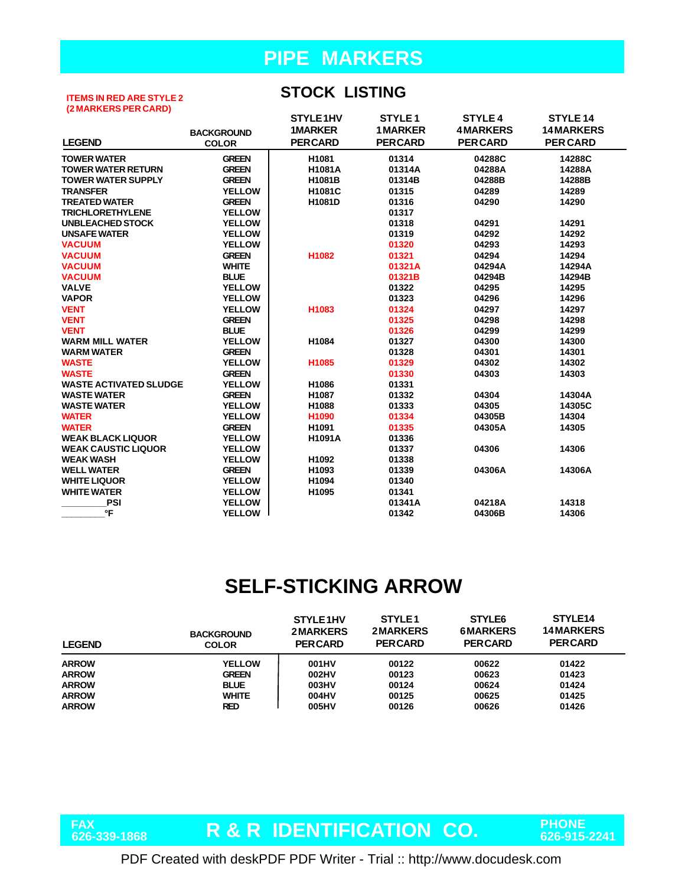#### **ITEMS IN RED ARE STYLE 2 (2 MARKERS PER CARD)**

#### **STOCK LISTING**

|                               |                   | STYLE1HV          | STYLE <sub>1</sub> | <b>STYLE 4</b>  | <b>STYLE 14</b>  |
|-------------------------------|-------------------|-------------------|--------------------|-----------------|------------------|
|                               | <b>BACKGROUND</b> | <b>1MARKER</b>    | <b>1 MARKER</b>    | <b>4MARKERS</b> | <b>14MARKERS</b> |
| <b>LEGEND</b>                 | <b>COLOR</b>      | <b>PERCARD</b>    | <b>PERCARD</b>     | <b>PERCARD</b>  | <b>PER CARD</b>  |
| <b>TOWER WATER</b>            | <b>GREEN</b>      | H1081             | 01314              | 04288C          | 14288C           |
| <b>TOWER WATER RETURN</b>     | <b>GREEN</b>      | <b>H1081A</b>     | 01314A             | 04288A          | 14288A           |
| <b>TOWER WATER SUPPLY</b>     | <b>GREEN</b>      | H1081B            | 01314B             | 04288B          | 14288B           |
| <b>TRANSFER</b>               | <b>YELLOW</b>     | H1081C            | 01315              | 04289           | 14289            |
| <b>TREATED WATER</b>          | <b>GREEN</b>      | H1081D            | 01316              | 04290           | 14290            |
| <b>TRICHLORETHYLENE</b>       | <b>YELLOW</b>     |                   | 01317              |                 |                  |
| <b>UNBLEACHED STOCK</b>       | <b>YELLOW</b>     |                   | 01318              | 04291           | 14291            |
| <b>UNSAFE WATER</b>           | <b>YELLOW</b>     |                   | 01319              | 04292           | 14292            |
| <b>VACUUM</b>                 | <b>YELLOW</b>     |                   | 01320              | 04293           | 14293            |
| <b>VACUUM</b>                 | <b>GREEN</b>      | H1082             | 01321              | 04294           | 14294            |
| <b>VACUUM</b>                 | <b>WHITE</b>      |                   | 01321A             | 04294A          | 14294A           |
| <b>VACUUM</b>                 | <b>BLUE</b>       |                   | 01321B             | 04294B          | 14294B           |
| <b>VALVE</b>                  | <b>YELLOW</b>     |                   | 01322              | 04295           | 14295            |
| <b>VAPOR</b>                  | <b>YELLOW</b>     |                   | 01323              | 04296           | 14296            |
| <b>VENT</b>                   | <b>YELLOW</b>     | H1083             | 01324              | 04297           | 14297            |
| <b>VENT</b>                   | <b>GREEN</b>      |                   | 01325              | 04298           | 14298            |
| <b>VENT</b>                   | <b>BLUE</b>       |                   | 01326              | 04299           | 14299            |
| <b>WARM MILL WATER</b>        | <b>YELLOW</b>     | H1084             | 01327              | 04300           | 14300            |
| <b>WARM WATER</b>             | <b>GREEN</b>      |                   | 01328              | 04301           | 14301            |
| <b>WASTE</b>                  | <b>YELLOW</b>     | H1085             | 01329              | 04302           | 14302            |
| <b>WASTE</b>                  | <b>GREEN</b>      |                   | 01330              | 04303           | 14303            |
| <b>WASTE ACTIVATED SLUDGE</b> | <b>YELLOW</b>     | H1086             | 01331              |                 |                  |
| <b>WASTE WATER</b>            | <b>GREEN</b>      | H1087             | 01332              | 04304           | 14304A           |
| <b>WASTE WATER</b>            | <b>YELLOW</b>     | H1088             | 01333              | 04305           | 14305C           |
| <b>WATER</b>                  | <b>YELLOW</b>     | H1090             | 01334              | 04305B          | 14304            |
| <b>WATER</b>                  | <b>GREEN</b>      | H1091             | 01335              | 04305A          | 14305            |
| <b>WEAK BLACK LIQUOR</b>      | <b>YELLOW</b>     | <b>H1091A</b>     | 01336              |                 |                  |
| <b>WEAK CAUSTIC LIQUOR</b>    | <b>YELLOW</b>     |                   | 01337              | 04306           | 14306            |
| <b>WEAK WASH</b>              | <b>YELLOW</b>     | H1092             | 01338              |                 |                  |
| <b>WELL WATER</b>             | <b>GREEN</b>      | H1093             | 01339              | 04306A          | 14306A           |
| <b>WHITE LIQUOR</b>           | <b>YELLOW</b>     | H1094             | 01340              |                 |                  |
| <b>WHITE WATER</b>            | <b>YELLOW</b>     | H <sub>1095</sub> | 01341              |                 |                  |
| <b>PSI</b>                    | <b>YELLOW</b>     |                   | 01341A             | 04218A          | 14318            |
| °F                            | <b>YELLOW</b>     |                   | 01342              | 04306B          | 14306            |

# **SELF-STICKING ARROW**

| <b>LEGEND</b> | <b>BACKGROUND</b><br><b>COLOR</b> | STYLE1HV<br><b>2MARKERS</b><br><b>PERCARD</b> | STYLE <sub>1</sub><br><b>2MARKERS</b><br><b>PERCARD</b> | STYLE <sub>6</sub><br><b>6MARKERS</b><br><b>PERCARD</b> | STYLE <sub>14</sub><br><b>14MARKERS</b><br><b>PERCARD</b> |
|---------------|-----------------------------------|-----------------------------------------------|---------------------------------------------------------|---------------------------------------------------------|-----------------------------------------------------------|
| <b>ARROW</b>  | <b>YELLOW</b>                     | 001HV                                         | 00122                                                   | 00622                                                   | 01422                                                     |
| <b>ARROW</b>  | <b>GREEN</b>                      | 002HV                                         | 00123                                                   | 00623                                                   | 01423                                                     |
| <b>ARROW</b>  | <b>BLUE</b>                       | 003HV                                         | 00124                                                   | 00624                                                   | 01424                                                     |
| <b>ARROW</b>  | <b>WHITE</b>                      | 004HV                                         | 00125                                                   | 00625                                                   | 01425                                                     |
| <b>ARROW</b>  | RED                               | 005HV                                         | 00126                                                   | 00626                                                   | 01426                                                     |

FAX<br>626-339-1868

**R & R IDENTIFICATION CO. PHONE 626-339-1868 626-915-2241**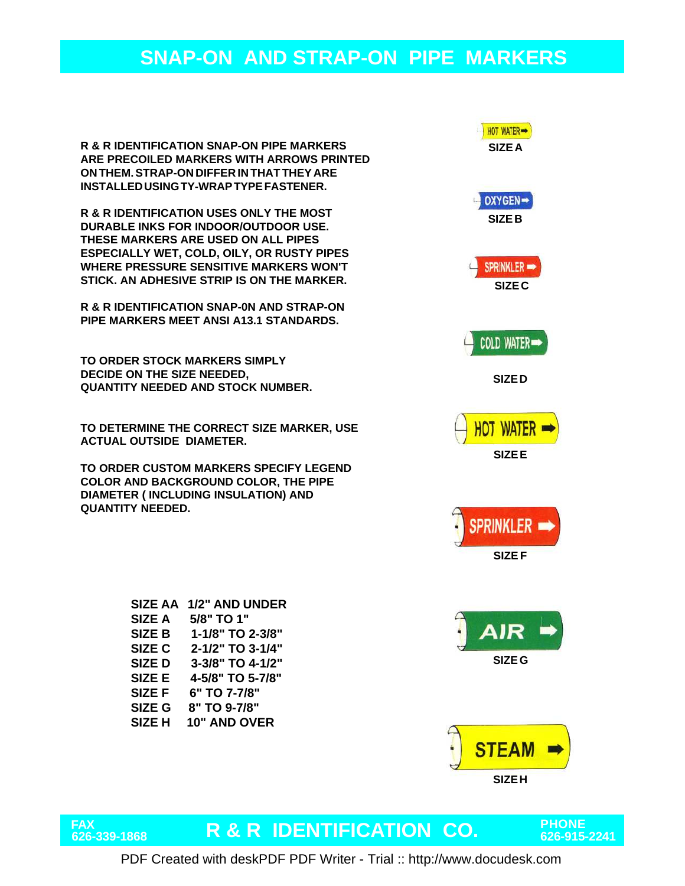**R & R IDENTIFICATION SNAP-ON PIPE MARKERS ARE PRECOILED MARKERS WITH ARROWS PRINTED ON THEM. STRAP-ON DIFFER IN THAT THEY ARE INSTALLED USING TY-WRAP TYPE FASTENER.**

**R & R IDENTIFICATION USES ONLY THE MOST DURABLE INKS FOR INDOOR/OUTDOOR USE. THESE MARKERS ARE USED ON ALL PIPES ESPECIALLY WET, COLD, OILY, OR RUSTY PIPES WHERE PRESSURE SENSITIVE MARKERS WON'T STICK. AN ADHESIVE STRIP IS ON THE MARKER.**

**R & R IDENTIFICATION SNAP-0N AND STRAP-ON PIPE MARKERS MEET ANSI A13.1 STANDARDS.**

**TO ORDER STOCK MARKERS SIMPLY DECIDE ON THE SIZE NEEDED, QUANTITY NEEDED AND STOCK NUMBER.**

**TO DETERMINE THE CORRECT SIZE MARKER, USE ACTUAL OUTSIDE DIAMETER.**

**TO ORDER CUSTOM MARKERS SPECIFY LEGEND COLOR AND BACKGROUND COLOR, THE PIPE DIAMETER ( INCLUDING INSULATION) AND QUANTITY NEEDED.**

| <b>SIZE AA</b> | 1/2" AND UNDER      |
|----------------|---------------------|
| <b>SIZE A</b>  | 5/8" TO 1"          |
| <b>SIZE B</b>  | 1-1/8" TO 2-3/8"    |
| SIZE C         | 2-1/2" TO 3-1/4"    |
| <b>SIZED</b>   | 3-3/8" TO 4-1/2"    |
| SIZE E         | 4-5/8" TO 5-7/8"    |
| <b>SIZE F</b>  | 6" TO 7-7/8"        |
| SIZE G         | 8" TO 9-7/8"        |
| <b>SIZE H</b>  | <b>10" AND OVER</b> |
|                |                     |





# **FAX**

# **R & R IDENTIFICATION CO. PHONE 626-339-1868 626-915-2241**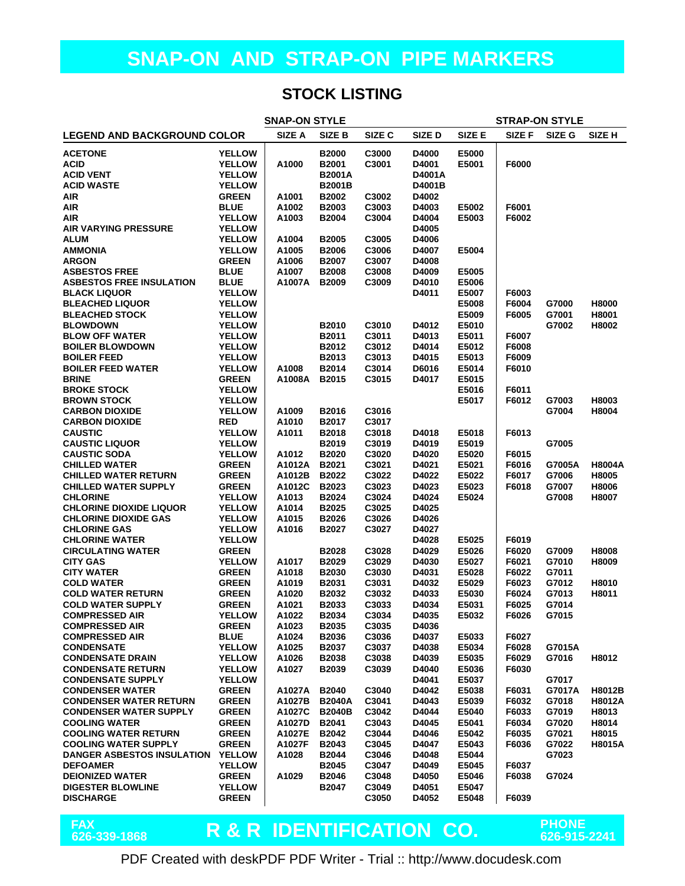#### **STOCK LISTING**

| <b>SNAP-ON STYLE</b><br><b>STRAP-ON STYLE</b>       |                                |                 |                       |                |                |                |                |                |                   |
|-----------------------------------------------------|--------------------------------|-----------------|-----------------------|----------------|----------------|----------------|----------------|----------------|-------------------|
| <b>LEGEND AND BACKGROUND COLOR</b>                  |                                | SIZE A          | SIZE B                | SIZE C         | SIZE D         | SIZE E         | SIZE F         | SIZE G         | SIZE <sub>H</sub> |
| <b>ACETONE</b>                                      | <b>YELLOW</b>                  |                 | <b>B2000</b>          | C3000          | D4000          | E5000          |                |                |                   |
| <b>ACID</b>                                         | <b>YELLOW</b>                  | A1000           | B2001                 | C3001          | D4001          | E5001          | F6000          |                |                   |
| <b>ACID VENT</b>                                    | <b>YELLOW</b>                  |                 | <b>B2001A</b>         |                | D4001A         |                |                |                |                   |
| <b>ACID WASTE</b>                                   | <b>YELLOW</b>                  |                 | <b>B2001B</b>         |                | D4001B         |                |                |                |                   |
| <b>AIR</b>                                          | <b>GREEN</b>                   | A1001           | B2002                 | C3002          | D4002          |                |                |                |                   |
| <b>AIR</b>                                          | <b>BLUE</b>                    | A1002           | B2003                 | C3003          | D4003          | E5002          | F6001          |                |                   |
| <b>AIR</b>                                          | <b>YELLOW</b>                  | A1003           | <b>B2004</b>          | C3004          | D4004          | E5003          | F6002          |                |                   |
| <b>AIR VARYING PRESSURE</b>                         | <b>YELLOW</b>                  |                 |                       |                | D4005          |                |                |                |                   |
| <b>ALUM</b>                                         | <b>YELLOW</b>                  | A1004           | <b>B2005</b>          | C3005          | D4006          |                |                |                |                   |
| <b>AMMONIA</b>                                      | <b>YELLOW</b>                  | A1005           | <b>B2006</b>          | C3006          | D4007          | E5004          |                |                |                   |
| <b>ARGON</b>                                        | <b>GREEN</b>                   | A1006           | <b>B2007</b>          | C3007          | D4008          |                |                |                |                   |
| <b>ASBESTOS FREE</b>                                | <b>BLUE</b>                    | A1007           | <b>B2008</b>          | C3008          | D4009          | E5005          |                |                |                   |
| <b>ASBESTOS FREE INSULATION</b>                     | <b>BLUE</b>                    | A1007A          | <b>B2009</b>          | C3009          | D4010          | E5006          |                |                |                   |
| <b>BLACK LIQUOR</b>                                 | <b>YELLOW</b>                  |                 |                       |                | D4011          | E5007          | F6003          |                |                   |
| <b>BLEACHED LIQUOR</b>                              | <b>YELLOW</b>                  |                 |                       |                |                | E5008          | F6004          | G7000          | H8000             |
| <b>BLEACHED STOCK</b>                               | <b>YELLOW</b>                  |                 |                       |                |                | E5009          | F6005          | G7001          | H8001             |
| <b>BLOWDOWN</b>                                     | <b>YELLOW</b>                  |                 | B2010                 | C3010          | D4012          | E5010          |                | G7002          | H8002             |
| <b>BLOW OFF WATER</b>                               | <b>YELLOW</b>                  |                 | B2011                 | C3011          | D4013          | E5011          | F6007          |                |                   |
| <b>BOILER BLOWDOWN</b>                              | <b>YELLOW</b>                  |                 | B2012                 | C3012          | D4014          | E5012          | F6008          |                |                   |
| <b>BOILER FEED</b>                                  | <b>YELLOW</b>                  |                 | B2013                 | C3013          | D4015          | E5013          | F6009          |                |                   |
| <b>BOILER FEED WATER</b>                            | <b>YELLOW</b>                  | A1008           | B2014                 | C3014          | D6016          | E5014          | F6010          |                |                   |
| <b>BRINE</b>                                        | <b>GREEN</b>                   | A1008A          | B2015                 | C3015          | D4017          | E5015          |                |                |                   |
| <b>BROKE STOCK</b>                                  | <b>YELLOW</b>                  |                 |                       |                |                | E5016          | F6011          |                |                   |
| <b>BROWN STOCK</b>                                  | <b>YELLOW</b>                  |                 |                       |                |                | E5017          | F6012          | G7003          | H8003             |
| <b>CARBON DIOXIDE</b>                               | <b>YELLOW</b>                  | A1009           | B2016                 | C3016          |                |                |                | G7004          | H8004             |
| <b>CARBON DIOXIDE</b>                               | <b>RED</b>                     | A1010           | B2017                 | C3017          |                |                |                |                |                   |
| <b>CAUSTIC</b>                                      | <b>YELLOW</b>                  | A1011           | B2018                 | C3018          | D4018          | E5018          | F6013          |                |                   |
| <b>CAUSTIC LIQUOR</b>                               | <b>YELLOW</b><br><b>YELLOW</b> |                 | B2019<br><b>B2020</b> | C3019<br>C3020 | D4019          | E5019          |                | G7005          |                   |
| <b>CAUSTIC SODA</b>                                 | <b>GREEN</b>                   | A1012<br>A1012A | B2021                 | C3021          | D4020<br>D4021 | E5020<br>E5021 | F6015          |                | <b>H8004A</b>     |
| <b>CHILLED WATER</b><br><b>CHILLED WATER RETURN</b> | <b>GREEN</b>                   | A1012B          | B2022                 | C3022          | D4022          | E5022          | F6016          | G7005A         | H8005             |
| <b>CHILLED WATER SUPPLY</b>                         | <b>GREEN</b>                   | A1012C          | B2023                 | C3023          | D4023          | E5023          | F6017<br>F6018 | G7006<br>G7007 | H8006             |
| <b>CHLORINE</b>                                     | <b>YELLOW</b>                  | A1013           | B2024                 | C3024          | D4024          | E5024          |                | G7008          | H8007             |
| <b>CHLORINE DIOXIDE LIQUOR</b>                      | <b>YELLOW</b>                  | A1014           | <b>B2025</b>          | C3025          | D4025          |                |                |                |                   |
| <b>CHLORINE DIOXIDE GAS</b>                         | <b>YELLOW</b>                  | A1015           | B2026                 | C3026          | D4026          |                |                |                |                   |
| <b>CHLORINE GAS</b>                                 | <b>YELLOW</b>                  | A1016           | <b>B2027</b>          | C3027          | D4027          |                |                |                |                   |
| <b>CHLORINE WATER</b>                               | <b>YELLOW</b>                  |                 |                       |                | D4028          | E5025          | F6019          |                |                   |
| <b>CIRCULATING WATER</b>                            | <b>GREEN</b>                   |                 | <b>B2028</b>          | C3028          | D4029          | E5026          | F6020          | G7009          | H8008             |
| <b>CITY GAS</b>                                     | <b>YELLOW</b>                  | A1017           | B2029                 | C3029          | D4030          | E5027          | F6021          | G7010          | H8009             |
| <b>CITY WATER</b>                                   | <b>GREEN</b>                   | A1018           | B <sub>2030</sub>     | C3030          | D4031          | E5028          | F6022          | G7011          |                   |
| <b>COLD WATER</b>                                   | <b>GREEN</b>                   | A1019           | B2031                 | C3031          | D4032          | E5029          | F6023          | G7012          | H8010             |
| <b>COLD WATER RETURN</b>                            | <b>GREEN</b>                   | A1020           | B2032                 | C3032          | D4033          | E5030          | F6024          | G7013          | H8011             |
| <b>COLD WATER SUPPLY</b>                            | <b>GREEN</b>                   | A1021           | B2033                 | C3033          | D4034          | E5031          | F6025          | G7014          |                   |
| <b>COMPRESSED AIR</b>                               | <b>YELLOW</b>                  | A1022           | B2034                 | C3034          | D4035          | E5032          | F6026          | G7015          |                   |
| <b>COMPRESSED AIR</b>                               | <b>GREEN</b>                   | A1023           | B2035                 | C3035          | D4036          |                |                |                |                   |
| <b>COMPRESSED AIR</b>                               | <b>BLUE</b>                    | A1024           | B2036                 | C3036          | D4037          | E5033          | F6027          |                |                   |
| <b>CONDENSATE</b>                                   | <b>YELLOW</b>                  | A1025           | B2037                 | C3037          | D4038          | E5034          | F6028          | G7015A         |                   |
| <b>CONDENSATE DRAIN</b>                             | <b>YELLOW</b>                  | A1026           | B2038                 | C3038          | D4039          | E5035          | F6029          | G7016          | H8012             |
| <b>CONDENSATE RETURN</b>                            | <b>YELLOW</b>                  | A1027           | B2039                 | C3039          | D4040          | E5036          | F6030          |                |                   |
| <b>CONDENSATE SUPPLY</b>                            | <b>YELLOW</b>                  |                 |                       |                | D4041          | E5037          |                | G7017          |                   |
| <b>CONDENSER WATER</b>                              | <b>GREEN</b>                   | A1027A          | <b>B2040</b>          | C3040          | D4042          | E5038          | F6031          | G7017A         | H8012B            |
| <b>CONDENSER WATER RETURN</b>                       | <b>GREEN</b>                   | A1027B          | <b>B2040A</b>         | C3041          | D4043          | E5039          | F6032          | G7018          | <b>H8012A</b>     |
| <b>CONDENSER WATER SUPPLY</b>                       | <b>GREEN</b>                   | A1027C          | <b>B2040B</b>         | C3042          | D4044          | E5040          | F6033          | G7019          | H8013             |
| <b>COOLING WATER</b>                                | <b>GREEN</b>                   | A1027D          | B2041                 | C3043          | D4045          | E5041          | F6034          | G7020          | H8014             |
| <b>COOLING WATER RETURN</b>                         | <b>GREEN</b>                   | A1027E          | B2042                 | C3044          | D4046          | E5042          | F6035          | G7021          | H8015             |
| <b>COOLING WATER SUPPLY</b>                         | <b>GREEN</b>                   | A1027F          | B2043                 | C3045          | D4047          | E5043          | F6036          | G7022          | H8015A            |
| DANGER ASBESTOS INSULATION                          | <b>YELLOW</b>                  | A1028           | B2044                 | C3046          | D4048          | E5044          |                | G7023          |                   |
| <b>DEFOAMER</b>                                     | <b>YELLOW</b>                  |                 | B2045                 | C3047          | D4049          | E5045          | F6037          |                |                   |
| <b>DEIONIZED WATER</b>                              | <b>GREEN</b>                   | A1029           | B2046                 | C3048          | D4050          | E5046          | F6038          | G7024          |                   |
| <b>DIGESTER BLOWLINE</b>                            | <b>YELLOW</b>                  |                 | <b>B2047</b>          | C3049          | D4051          | E5047          |                |                |                   |
| <b>DISCHARGE</b>                                    | <b>GREEN</b>                   |                 |                       | C3050          | D4052          | E5048          | F6039          |                |                   |

**FAX**

# **R & R IDENTIFICATION CO. PHONE 626-339-1868 626-915-2241**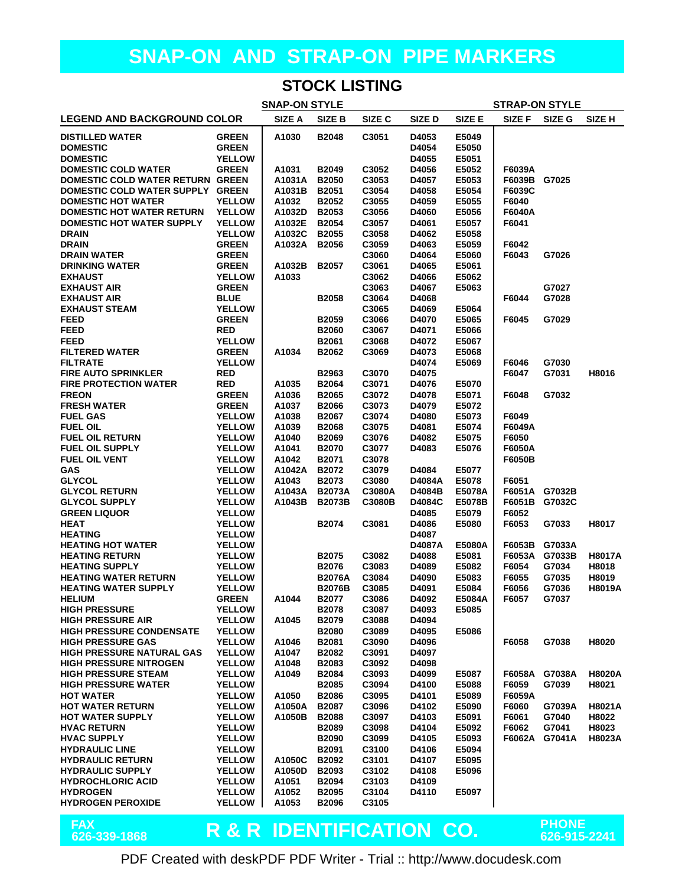#### **STOCK LISTING**

| <b>SNAP-ON STYLE</b><br><b>STRAP-ON STYLE</b>                 |                                |                  |                              |                |                 |                |                 |        |               |
|---------------------------------------------------------------|--------------------------------|------------------|------------------------------|----------------|-----------------|----------------|-----------------|--------|---------------|
| <b>LEGEND AND BACKGROUND COLOR</b>                            |                                | SIZE A           | <b>SIZE B</b>                | SIZE C         | SIZE D          | SIZE E         | SIZE F          | SIZE G | SIZE H        |
| <b>DISTILLED WATER</b>                                        | <b>GREEN</b>                   | A1030            | <b>B2048</b>                 | C3051          | D4053           | E5049          |                 |        |               |
| <b>DOMESTIC</b>                                               | <b>GREEN</b>                   |                  |                              |                | D4054           | E5050          |                 |        |               |
| <b>DOMESTIC</b>                                               | <b>YELLOW</b>                  |                  |                              |                | D4055           | E5051          |                 |        |               |
| <b>DOMESTIC COLD WATER</b>                                    | <b>GREEN</b>                   | A1031            | <b>B2049</b>                 | C3052          | D4056           | E5052          | F6039A          |        |               |
| DOMESTIC COLD WATER RETURN GREEN                              |                                | A1031A           | <b>B2050</b>                 | C3053<br>C3054 | D4057           | E5053          | F6039B G7025    |        |               |
| DOMESTIC COLD WATER SUPPLY GREEN<br><b>DOMESTIC HOT WATER</b> | <b>YELLOW</b>                  | A1031B<br>A1032  | <b>B2051</b><br><b>B2052</b> | C3055          | D4058<br>D4059  | E5054<br>E5055 | F6039C<br>F6040 |        |               |
| <b>DOMESTIC HOT WATER RETURN</b>                              | <b>YELLOW</b>                  | A1032D           | B2053                        | C3056          | D4060           | E5056          | F6040A          |        |               |
| <b>DOMESTIC HOT WATER SUPPLY</b>                              | <b>YELLOW</b>                  | A1032E           | <b>B2054</b>                 | C3057          | D4061           | E5057          | F6041           |        |               |
| <b>DRAIN</b>                                                  | <b>YELLOW</b>                  | A1032C           | <b>B2055</b>                 | C3058          | D4062           | E5058          |                 |        |               |
| <b>DRAIN</b>                                                  | <b>GREEN</b>                   | A1032A           | <b>B2056</b>                 | C3059          | D4063           | E5059          | F6042           |        |               |
| <b>DRAIN WATER</b>                                            | <b>GREEN</b>                   |                  |                              | C3060          | D4064           | E5060          | F6043           | G7026  |               |
| <b>DRINKING WATER</b>                                         | <b>GREEN</b>                   | A1032B           | <b>B2057</b>                 | C3061          | D4065           | E5061          |                 |        |               |
| <b>EXHAUST</b>                                                | <b>YELLOW</b>                  | A1033            |                              | C3062          | D4066           | E5062          |                 |        |               |
| <b>EXHAUST AIR</b>                                            | <b>GREEN</b>                   |                  |                              | C3063          | D4067           | E5063          |                 | G7027  |               |
| <b>EXHAUST AIR</b><br><b>EXHAUST STEAM</b>                    | <b>BLUE</b><br><b>YELLOW</b>   |                  | <b>B2058</b>                 | C3064<br>C3065 | D4068<br>D4069  | E5064          | F6044           | G7028  |               |
| <b>FEED</b>                                                   | <b>GREEN</b>                   |                  | <b>B2059</b>                 | C3066          | D4070           | E5065          | F6045           | G7029  |               |
| <b>FEED</b>                                                   | <b>RED</b>                     |                  | <b>B2060</b>                 | C3067          | D4071           | E5066          |                 |        |               |
| <b>FEED</b>                                                   | <b>YELLOW</b>                  |                  | B2061                        | C3068          | D4072           | E5067          |                 |        |               |
| <b>FILTERED WATER</b>                                         | <b>GREEN</b>                   | A1034            | B2062                        | C3069          | D4073           | E5068          |                 |        |               |
| <b>FILTRATE</b>                                               | <b>YELLOW</b>                  |                  |                              |                | D4074           | E5069          | F6046           | G7030  |               |
| <b>FIRE AUTO SPRINKLER</b>                                    | <b>RED</b>                     |                  | B2963                        | C3070          | D4075           |                | F6047           | G7031  | H8016         |
| <b>FIRE PROTECTION WATER</b>                                  | <b>RED</b>                     | A1035            | <b>B2064</b>                 | C3071          | D4076           | E5070          |                 |        |               |
| <b>FREON</b>                                                  | <b>GREEN</b>                   | A1036            | <b>B2065</b>                 | C3072          | D4078           | E5071          | F6048           | G7032  |               |
| <b>FRESH WATER</b>                                            | <b>GREEN</b>                   | A1037            | <b>B2066</b>                 | C3073          | D4079           | E5072          |                 |        |               |
| <b>FUEL GAS</b><br><b>FUEL OIL</b>                            | <b>YELLOW</b><br><b>YELLOW</b> | A1038<br>A1039   | <b>B2067</b><br>B2068        | C3074<br>C3075 | D4080<br>D4081  | E5073<br>E5074 | F6049<br>F6049A |        |               |
| <b>FUEL OIL RETURN</b>                                        | <b>YELLOW</b>                  | A1040            | <b>B2069</b>                 | C3076          | D4082           | E5075          | F6050           |        |               |
| <b>FUEL OIL SUPPLY</b>                                        | <b>YELLOW</b>                  | A1041            | <b>B2070</b>                 | C3077          | D4083           | E5076          | F6050A          |        |               |
| <b>FUEL OIL VENT</b>                                          | <b>YELLOW</b>                  | A1042            | B2071                        | C3078          |                 |                | F6050B          |        |               |
| <b>GAS</b>                                                    | <b>YELLOW</b>                  | A1042A           | B2072                        | C3079          | D4084           | E5077          |                 |        |               |
| <b>GLYCOL</b>                                                 | <b>YELLOW</b>                  | A1043            | B2073                        | C3080          | D4084A          | E5078          | F6051           |        |               |
| <b>GLYCOL RETURN</b>                                          | <b>YELLOW</b>                  | A1043A           | <b>B2073A</b>                | C3080A         | D4084B          | E5078A         | F6051A G7032B   |        |               |
| <b>GLYCOL SUPPLY</b>                                          | <b>YELLOW</b>                  | A1043B           | <b>B2073B</b>                | C3080B         | D4084C          | E5078B         | F6051B          | G7032C |               |
| <b>GREEN LIQUOR</b>                                           | <b>YELLOW</b>                  |                  |                              |                | D4085           | E5079          | F6052           |        |               |
| <b>HEAT</b>                                                   | <b>YELLOW</b>                  |                  | B2074                        | C3081          | D4086           | E5080          | F6053           | G7033  | H8017         |
| <b>HEATING</b><br><b>HEATING HOT WATER</b>                    | <b>YELLOW</b><br><b>YELLOW</b> |                  |                              |                | D4087<br>D4087A | E5080A         | F6053B          | G7033A |               |
| <b>HEATING RETURN</b>                                         | <b>YELLOW</b>                  |                  | B2075                        | C3082          | D4088           | E5081          | F6053A G7033B   |        | <b>H8017A</b> |
| <b>HEATING SUPPLY</b>                                         | <b>YELLOW</b>                  |                  | <b>B2076</b>                 | C3083          | D4089           | E5082          | F6054           | G7034  | H8018         |
| <b>HEATING WATER RETURN</b>                                   | <b>YELLOW</b>                  |                  | <b>B2076A</b>                | C3084          | D4090           | E5083          | F6055           | G7035  | H8019         |
| <b>HEATING WATER SUPPLY</b>                                   | <b>YELLOW</b>                  |                  | <b>B2076B</b>                | C3085          | D4091           | E5084          | F6056           | G7036  | <b>H8019A</b> |
| <b>HELIUM</b>                                                 | <b>GREEN</b>                   | A1044            | B2077                        | C3086          | D4092           | E5084A         | F6057           | G7037  |               |
| <b>HIGH PRESSURE</b>                                          | <b>YELLOW</b>                  |                  | B2078                        | C3087          | D4093           | E5085          |                 |        |               |
| <b>HIGH PRESSURE AIR</b>                                      | <b>YELLOW</b>                  | A1045            | B2079                        | C3088          | D4094           |                |                 |        |               |
| <b>HIGH PRESSURE CONDENSATE</b>                               | <b>YELLOW</b>                  |                  | <b>B2080</b>                 | C3089          | D4095           | E5086          |                 |        |               |
| <b>HIGH PRESSURE GAS</b><br><b>HIGH PRESSURE NATURAL GAS</b>  | <b>YELLOW</b><br><b>YELLOW</b> | A1046<br>A1047   | B2081<br>B2082               | C3090<br>C3091 | D4096<br>D4097  |                | F6058           | G7038  | H8020         |
| <b>HIGH PRESSURE NITROGEN</b>                                 | <b>YELLOW</b>                  | A1048            | B2083                        | C3092          | D4098           |                |                 |        |               |
| <b>HIGH PRESSURE STEAM</b>                                    | <b>YELLOW</b>                  | A1049            | B2084                        | C3093          | D4099           | E5087          | F6058A G7038A   |        | <b>H8020A</b> |
| <b>HIGH PRESSURE WATER</b>                                    | <b>YELLOW</b>                  |                  | B2085                        | C3094          | D4100           | E5088          | F6059           | G7039  | H8021         |
| <b>HOT WATER</b>                                              | <b>YELLOW</b>                  | A1050            | <b>B2086</b>                 | C3095          | D4101           | E5089          | F6059A          |        |               |
| <b>HOT WATER RETURN</b>                                       | <b>YELLOW</b>                  | A1050A           | <b>B2087</b>                 | C3096          | D4102           | E5090          | F6060           | G7039A | <b>H8021A</b> |
| <b>HOT WATER SUPPLY</b>                                       | <b>YELLOW</b>                  | A1050B           | <b>B2088</b>                 | C3097          | D4103           | E5091          | F6061           | G7040  | H8022         |
| <b>HVAC RETURN</b>                                            | <b>YELLOW</b>                  |                  | B2089                        | C3098          | D4104           | E5092          | F6062           | G7041  | H8023         |
| <b>HVAC SUPPLY</b>                                            | <b>YELLOW</b>                  |                  | B2090                        | C3099          | D4105           | E5093          | F6062A G7041A   |        | H8023A        |
| <b>HYDRAULIC LINE</b>                                         | <b>YELLOW</b>                  |                  | B2091                        | C3100          | D4106           | E5094          |                 |        |               |
| <b>HYDRAULIC RETURN</b><br><b>HYDRAULIC SUPPLY</b>            | <b>YELLOW</b><br><b>YELLOW</b> | A1050C<br>A1050D | B2092<br>B2093               | C3101<br>C3102 | D4107<br>D4108  | E5095<br>E5096 |                 |        |               |
| <b>HYDROCHLORIC ACID</b>                                      | <b>YELLOW</b>                  | A1051            | B2094                        | C3103          | D4109           |                |                 |        |               |
| <b>HYDROGEN</b>                                               | <b>YELLOW</b>                  | A1052            | B2095                        | C3104          | D4110           | E5097          |                 |        |               |
| <b>HYDROGEN PEROXIDE</b>                                      | <b>YELLOW</b>                  | A1053            | B2096                        | C3105          |                 |                |                 |        |               |
|                                                               |                                |                  |                              |                |                 |                |                 |        |               |

**FAX**

**R & R IDENTIFICATION CO. PHONE 626-339-1868 626-915-2241**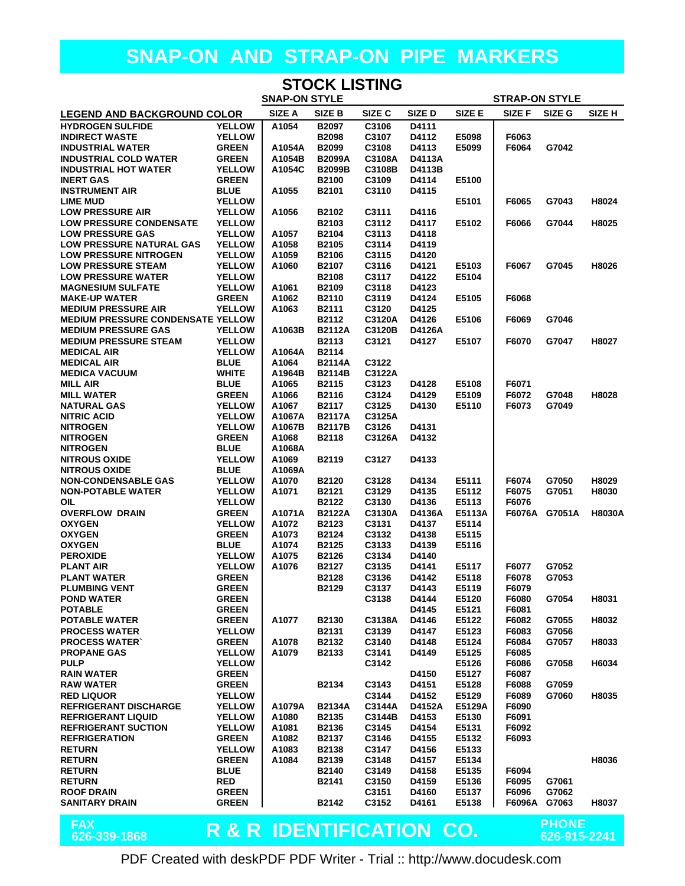| <b>STOCK LISTING</b>                                       |                                               |                  |                               |                  |                 |                 |                 |                |                   |
|------------------------------------------------------------|-----------------------------------------------|------------------|-------------------------------|------------------|-----------------|-----------------|-----------------|----------------|-------------------|
|                                                            | <b>SNAP-ON STYLE</b><br><b>STRAP-ON STYLE</b> |                  |                               |                  |                 |                 |                 |                |                   |
| <b>LEGEND AND BACKGROUND COLOR</b>                         |                                               | SIZE A           | SIZE B                        | SIZE C           | <b>SIZED</b>    | <b>SIZE E</b>   | SIZE F          | SIZE G         | SIZE <sub>H</sub> |
| <b>HYDROGEN SULFIDE</b>                                    | <b>YELLOW</b>                                 | A1054            | <b>B2097</b>                  | C3106            | D4111           |                 |                 |                |                   |
| <b>INDIRECT WASTE</b>                                      | <b>YELLOW</b>                                 |                  | <b>B2098</b>                  | C3107            | D4112           | E5098           | F6063           |                |                   |
| <b>INDUSTRIAL WATER</b><br><b>INDUSTRIAL COLD WATER</b>    | <b>GREEN</b><br><b>GREEN</b>                  | A1054A<br>A1054B | <b>B2099</b><br><b>B2099A</b> | C3108<br>C3108A  | D4113<br>D4113A | E5099           | F6064           | G7042          |                   |
| <b>INDUSTRIAL HOT WATER</b>                                | <b>YELLOW</b>                                 | A1054C           | <b>B2099B</b>                 | C3108B           | D4113B          |                 |                 |                |                   |
| <b>INERT GAS</b>                                           | <b>GREEN</b>                                  |                  | B2100                         | C3109            | D4114           | E5100           |                 |                |                   |
| <b>INSTRUMENT AIR</b>                                      | <b>BLUE</b>                                   | A1055            | B2101                         | C3110            | D4115           |                 |                 |                |                   |
| <b>LIME MUD</b>                                            | <b>YELLOW</b>                                 |                  |                               |                  |                 | E5101           | F6065           | G7043          | H8024             |
| <b>LOW PRESSURE AIR</b>                                    | <b>YELLOW</b>                                 | A1056            | B2102                         | C3111            | D4116           |                 |                 |                |                   |
| <b>LOW PRESSURE CONDENSATE</b><br><b>LOW PRESSURE GAS</b>  | <b>YELLOW</b><br><b>YELLOW</b>                | A1057            | B2103<br>B2104                | C3112<br>C3113   | D4117<br>D4118  | E5102           | F6066           | G7044          | H8025             |
| <b>LOW PRESSURE NATURAL GAS</b>                            | <b>YELLOW</b>                                 | A1058            | <b>B2105</b>                  | C3114            | D4119           |                 |                 |                |                   |
| <b>LOW PRESSURE NITROGEN</b>                               | <b>YELLOW</b>                                 | A1059            | <b>B2106</b>                  | C3115            | D4120           |                 |                 |                |                   |
| <b>LOW PRESSURE STEAM</b>                                  | <b>YELLOW</b>                                 | A1060            | B2107                         | C3116            | D4121           | E5103           | F6067           | G7045          | H8026             |
| <b>LOW PRESSURE WATER</b>                                  | <b>YELLOW</b>                                 |                  | B2108                         | C3117            | D4122           | E5104           |                 |                |                   |
| <b>MAGNESIUM SULFATE</b>                                   | <b>YELLOW</b>                                 | A1061            | B2109                         | C3118            | D4123           |                 |                 |                |                   |
| <b>MAKE-UP WATER</b>                                       | <b>GREEN</b>                                  | A1062            | <b>B2110</b>                  | C3119            | D4124           | E5105           | F6068           |                |                   |
| <b>MEDIUM PRESSURE AIR</b>                                 | <b>YELLOW</b>                                 | A1063            | B2111                         | C3120            | D4125           |                 |                 |                |                   |
| <b>MEDIUM PRESSURE CONDENSATE YELLOW</b>                   | <b>YELLOW</b>                                 |                  | B2112                         | C3120A<br>C3120B | D4126<br>D4126A | E5106           | F6069           | G7046          |                   |
| <b>MEDIUM PRESSURE GAS</b><br><b>MEDIUM PRESSURE STEAM</b> | <b>YELLOW</b>                                 | A1063B           | <b>B2112A</b><br>B2113        | C3121            | D4127           | E5107           | F6070           | G7047          | H8027             |
| <b>MEDICAL AIR</b>                                         | <b>YELLOW</b>                                 | A1064A           | B2114                         |                  |                 |                 |                 |                |                   |
| <b>MEDICAL AIR</b>                                         | <b>BLUE</b>                                   | A1064            | <b>B2114A</b>                 | C3122            |                 |                 |                 |                |                   |
| <b>MEDICA VACUUM</b>                                       | <b>WHITE</b>                                  | A1964B           | <b>B2114B</b>                 | C3122A           |                 |                 |                 |                |                   |
| <b>MILL AIR</b>                                            | <b>BLUE</b>                                   | A1065            | B2115                         | C3123            | D4128           | E5108           | F6071           |                |                   |
| <b>MILL WATER</b>                                          | <b>GREEN</b>                                  | A1066            | B2116                         | C3124            | D4129           | E5109           | F6072           | G7048          | H8028             |
| <b>NATURAL GAS</b>                                         | <b>YELLOW</b>                                 | A1067            | <b>B2117</b>                  | C3125            | D4130           | E5110           | F6073           | G7049          |                   |
| <b>NITRIC ACID</b>                                         | <b>YELLOW</b>                                 | A1067A           | <b>B2117A</b>                 | C3125A           |                 |                 |                 |                |                   |
| <b>NITROGEN</b><br><b>NITROGEN</b>                         | <b>YELLOW</b><br><b>GREEN</b>                 | A1067B<br>A1068  | <b>B2117B</b><br>B2118        | C3126<br>C3126A  | D4131<br>D4132  |                 |                 |                |                   |
| <b>NITROGEN</b>                                            | <b>BLUE</b>                                   | A1068A           |                               |                  |                 |                 |                 |                |                   |
| <b>NITROUS OXIDE</b>                                       | <b>YELLOW</b>                                 | A1069            | B2119                         | C3127            | D4133           |                 |                 |                |                   |
| <b>NITROUS OXIDE</b>                                       | <b>BLUE</b>                                   | A1069A           |                               |                  |                 |                 |                 |                |                   |
| <b>NON-CONDENSABLE GAS</b>                                 | <b>YELLOW</b>                                 | A1070            | B2120                         | C3128            | D4134           | E5111           | F6074           | G7050          | H8029             |
| <b>NON-POTABLE WATER</b>                                   | <b>YELLOW</b>                                 | A1071            | B2121                         | C3129            | D4135           | E5112           | F6075           | G7051          | H8030             |
| OIL                                                        | <b>YELLOW</b>                                 |                  | B2122                         | C3130            | D4136           | E5113           | F6076           |                |                   |
| <b>OVERFLOW DRAIN</b><br><b>OXYGEN</b>                     | <b>GREEN</b><br><b>YELLOW</b>                 | A1071A<br>A1072  | <b>B2122A</b><br>B2123        | C3130A<br>C3131  | D4136A<br>D4137 | E5113A<br>E5114 | F6076A          | G7051A         | <b>H8030A</b>     |
| <b>OXYGEN</b>                                              | <b>GREEN</b>                                  | A1073            | B2124                         | C3132            | D4138           | E5115           |                 |                |                   |
| <b>OXYGEN</b>                                              | <b>BLUE</b>                                   | A1074            | B2125                         | C3133            | D4139           | E5116           |                 |                |                   |
| <b>PEROXIDE</b>                                            | <b>YELLOW</b>                                 | A1075            | <b>B2126</b>                  | C3134            | D4140           |                 |                 |                |                   |
| <b>PLANT AIR</b>                                           | <b>YELLOW</b>                                 | A1076            | B2127                         | C3135            | D4141           | E5117           | F6077           | G7052          |                   |
| <b>PLANT WATER</b>                                         | <b>GREEN</b>                                  |                  | <b>B2128</b>                  | C3136            | D4142           | E5118           | F6078           | G7053          |                   |
| <b>PLUMBING VENT</b>                                       | <b>GREEN</b>                                  |                  | B2129                         | C3137            | D4143           | E5119           | F6079           |                |                   |
| <b>POND WATER</b><br><b>POTABLE</b>                        | <b>GREEN</b><br><b>GREEN</b>                  |                  |                               | C3138            | D4144<br>D4145  | E5120<br>E5121  | F6080<br>F6081  | G7054          | H8031             |
| <b>POTABLE WATER</b>                                       | <b>GREEN</b>                                  | A1077            | B2130                         | C3138A           | D4146           | E5122           | F6082           | G7055          | H8032             |
| <b>PROCESS WATER</b>                                       | <b>YELLOW</b>                                 |                  | B2131                         | C3139            | D4147           | E5123           | F6083           | G7056          |                   |
| <b>PROCESS WATER</b>                                       | <b>GREEN</b>                                  | A1078            | B2132                         | C3140            | D4148           | E5124           | F6084           | G7057          | H8033             |
| <b>PROPANE GAS</b>                                         | <b>YELLOW</b>                                 | A1079            | B2133                         | C3141            | D4149           | E5125           | F6085           |                |                   |
| <b>PULP</b>                                                | <b>YELLOW</b>                                 |                  |                               | C3142            |                 | E5126           | F6086           | G7058          | H6034             |
| <b>RAIN WATER</b>                                          | <b>GREEN</b>                                  |                  |                               |                  | D4150           | E5127           | F6087           |                |                   |
| <b>RAW WATER</b>                                           | <b>GREEN</b>                                  |                  | B2134                         | C3143<br>C3144   | D4151           | E5128           | F6088           | G7059          |                   |
| <b>RED LIQUOR</b><br><b>REFRIGERANT DISCHARGE</b>          | <b>YELLOW</b><br><b>YELLOW</b>                | A1079A           | <b>B2134A</b>                 | C3144A           | D4152<br>D4152A | E5129<br>E5129A | F6089<br>F6090  | G7060          | H8035             |
| <b>REFRIGERANT LIQUID</b>                                  | <b>YELLOW</b>                                 | A1080            | B2135                         | C3144B           | D4153           | E5130           | F6091           |                |                   |
| <b>REFRIGERANT SUCTION</b>                                 | <b>YELLOW</b>                                 | A1081            | B2136                         | C3145            | D4154           | E5131           | F6092           |                |                   |
| <b>REFRIGERATION</b>                                       | <b>GREEN</b>                                  | A1082            | B2137                         | C3146            | D4155           | E5132           | F6093           |                |                   |
| <b>RETURN</b>                                              | <b>YELLOW</b>                                 | A1083            | B2138                         | C3147            | D4156           | E5133           |                 |                |                   |
| <b>RETURN</b>                                              | <b>GREEN</b>                                  | A1084            | B2139                         | C3148            | D4157           | E5134           |                 |                | H8036             |
| <b>RETURN</b>                                              | <b>BLUE</b>                                   |                  | B2140                         | C3149            | D4158           | E5135           | F6094           |                |                   |
| <b>RETURN</b>                                              | <b>RED</b>                                    |                  | B2141                         | C3150            | D4159           | E5136           | F6095           | G7061          |                   |
| <b>ROOF DRAIN</b><br><b>SANITARY DRAIN</b>                 | <b>GREEN</b><br><b>GREEN</b>                  |                  | B2142                         | C3151<br>C3152   | D4160<br>D4161  | E5137<br>E5138  | F6096<br>F6096A | G7062<br>G7063 | H8037             |
|                                                            |                                               |                  |                               |                  |                 |                 |                 |                |                   |
| <b>CAV</b>                                                 |                                               |                  |                               |                  |                 |                 |                 | <b>DHONE</b>   |                   |

FAX<br>626-339-1868

# **R & R IDENTIFICATION CO. PHONE 626-339-1868 626-915-2241**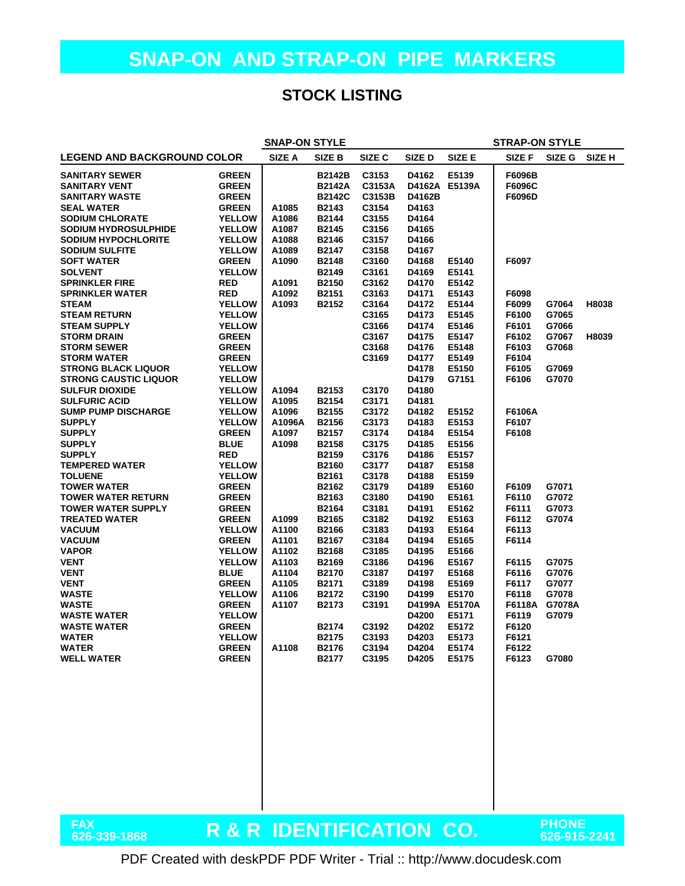#### **STOCK LISTING**

| <b>SNAP-ON STYLE</b><br><b>STRAP-ON STYLE</b> |                          |        |               |                   |               |               |        |              |               |
|-----------------------------------------------|--------------------------|--------|---------------|-------------------|---------------|---------------|--------|--------------|---------------|
| <b>LEGEND AND BACKGROUND COLOR</b>            |                          | SIZE A | SIZE B        | SIZE <sub>C</sub> | SIZE D        | SIZE E        | SIZE F | SIZE G       | <b>SIZE H</b> |
| <b>SANITARY SEWER</b>                         | <b>GREEN</b>             |        | <b>B2142B</b> | C3153             | D4162         | E5139         | F6096B |              |               |
| <b>SANITARY VENT</b>                          | <b>GREEN</b>             |        | <b>B2142A</b> | C3153A            | D4162A E5139A |               | F6096C |              |               |
| <b>SANITARY WASTE</b>                         | <b>GREEN</b>             |        | <b>B2142C</b> | C3153B            | D4162B        |               | F6096D |              |               |
| <b>SEAL WATER</b>                             | <b>GREEN</b>             | A1085  | B2143         | C3154             | D4163         |               |        |              |               |
| <b>SODIUM CHLORATE</b>                        | <b>YELLOW</b>            | A1086  | B2144         | C3155             | D4164         |               |        |              |               |
| <b>SODIUM HYDROSULPHIDE</b>                   | <b>YELLOW</b>            | A1087  | B2145         | C3156             | D4165         |               |        |              |               |
| <b>SODIUM HYPOCHLORITE</b>                    | <b>YELLOW</b>            | A1088  | B2146         | C3157             | D4166         |               |        |              |               |
| <b>SODIUM SULFITE</b>                         | <b>YELLOW</b>            | A1089  | B2147         | C3158             | D4167         |               |        |              |               |
| <b>SOFT WATER</b>                             | <b>GREEN</b>             | A1090  | B2148         | C3160             | D4168         | E5140         | F6097  |              |               |
| <b>SOLVENT</b>                                | <b>YELLOW</b>            |        | B2149         | C3161             | D4169         | E5141         |        |              |               |
| <b>SPRINKLER FIRE</b>                         | <b>RED</b>               | A1091  | B2150         | C3162             | D4170         | E5142         |        |              |               |
| <b>SPRINKLER WATER</b>                        | <b>RED</b>               | A1092  | B2151         | C3163             | D4171         | E5143         | F6098  |              |               |
| <b>STEAM</b>                                  | <b>YELLOW</b>            | A1093  | B2152         | C3164             | D4172         | E5144         | F6099  | G7064        | H8038         |
| <b>STEAM RETURN</b>                           | <b>YELLOW</b>            |        |               | C3165             | D4173         | E5145         | F6100  | G7065        |               |
| <b>STEAM SUPPLY</b>                           | <b>YELLOW</b>            |        |               | C3166             | D4174         | E5146         | F6101  | G7066        |               |
| <b>STORM DRAIN</b>                            | <b>GREEN</b>             |        |               | C3167             | D4175         | E5147         | F6102  | G7067        | H8039         |
| <b>STORM SEWER</b>                            | <b>GREEN</b>             |        |               | C3168             | D4176         | E5148         | F6103  | G7068        |               |
| <b>STORM WATER</b>                            | <b>GREEN</b>             |        |               | C3169             | D4177         | E5149         | F6104  |              |               |
| <b>STRONG BLACK LIQUOR</b>                    | <b>YELLOW</b>            |        |               |                   | D4178         | E5150         | F6105  | G7069        |               |
| <b>STRONG CAUSTIC LIQUOR</b>                  | <b>YELLOW</b>            |        |               |                   | D4179         | G7151         | F6106  | G7070        |               |
| <b>SULFUR DIOXIDE</b>                         | <b>YELLOW</b>            | A1094  | B2153         | C3170             | D4180         |               |        |              |               |
| <b>SULFURIC ACID</b>                          | <b>YELLOW</b>            | A1095  | B2154         | C3171             | D4181         |               |        |              |               |
| <b>SUMP PUMP DISCHARGE</b>                    | <b>YELLOW</b>            | A1096  | B2155         | C3172             | D4182         | E5152         | F6106A |              |               |
| <b>SUPPLY</b>                                 | <b>YELLOW</b>            | A1096A | B2156         | C3173             | D4183         | E5153         | F6107  |              |               |
| <b>SUPPLY</b>                                 | <b>GREEN</b>             | A1097  | B2157         | C3174             | D4184         | E5154         | F6108  |              |               |
| <b>SUPPLY</b>                                 | <b>BLUE</b>              | A1098  | B2158         | C3175             | D4185         | E5156         |        |              |               |
| <b>SUPPLY</b>                                 | <b>RED</b>               |        | B2159         | C3176             | D4186         | E5157         |        |              |               |
| <b>TEMPERED WATER</b>                         | <b>YELLOW</b>            |        | B2160         | C3177             | D4187         | E5158         |        |              |               |
| <b>TOLUENE</b>                                | <b>YELLOW</b>            |        | B2161         | C3178             | D4188         | E5159         |        |              |               |
| <b>TOWER WATER</b>                            | <b>GREEN</b>             |        | B2162         | C3179             | D4189         | E5160         | F6109  | G7071        |               |
| <b>TOWER WATER RETURN</b>                     | <b>GREEN</b>             |        | B2163         | C3180             | D4190         | E5161         | F6110  | G7072        |               |
| <b>TOWER WATER SUPPLY</b>                     | <b>GREEN</b>             |        | B2164         | C3181             | D4191         | E5162         | F6111  | G7073        |               |
| <b>TREATED WATER</b>                          | <b>GREEN</b>             | A1099  | B2165         | C3182             | D4192         | E5163         | F6112  | G7074        |               |
| <b>VACUUM</b>                                 | <b>YELLOW</b>            | A1100  | B2166         | C3183             | D4193         | E5164         | F6113  |              |               |
| <b>VACUUM</b>                                 | <b>GREEN</b>             | A1101  | B2167         | C3184             | D4194         | E5165         | F6114  |              |               |
| <b>VAPOR</b>                                  | <b>YELLOW</b>            | A1102  | B2168         | C3185             | D4195         | E5166         |        |              |               |
| <b>VENT</b>                                   | <b>YELLOW</b>            | A1103  | B2169         | C3186             | D4196         | E5167         | F6115  | G7075        |               |
| <b>VENT</b>                                   | <b>BLUE</b>              | A1104  | B2170         | C3187             | D4197         | E5168         | F6116  | G7076        |               |
| <b>VENT</b>                                   | <b>GREEN</b>             | A1105  | B2171         | C3189             | D4198         | E5169         | F6117  | G7077        |               |
| <b>WASTE</b>                                  | <b>YELLOW</b>            | A1106  | B2172         | C3190             | D4199         | E5170         | F6118  | G7078        |               |
| <b>WASTE</b>                                  | <b>GREEN</b>             | A1107  | B2173         | C3191             |               | D4199A E5170A | F6118A | G7078A       |               |
| <b>WASTE WATER</b>                            | <b>YELLOW</b>            |        |               |                   | D4200         | E5171         | F6119  | G7079        |               |
| <b>WASTE WATER</b>                            | <b>GREEN</b>             |        | B2174         | C3192             | D4202         | E5172         | F6120  |              |               |
| WATER                                         | <b>YELLOW</b>            |        | B2175         | C3193             | D4203         | E5173         | F6121  |              |               |
| <b>WATER</b>                                  | <b>GREEN</b>             | A1108  | <b>B2176</b>  | C3194             | D4204         | E5174         | F6122  |              |               |
| <b>WELL WATER</b>                             | <b>GREEN</b>             |        | B2177         | C3195             | D4205         | E5175         | F6123  | G7080        |               |
|                                               |                          |        |               |                   |               |               |        |              |               |
|                                               |                          |        |               |                   |               |               |        |              |               |
|                                               |                          |        |               |                   |               |               |        |              |               |
|                                               |                          |        |               |                   |               |               |        |              |               |
|                                               |                          |        |               |                   |               |               |        |              |               |
|                                               |                          |        |               |                   |               |               |        |              |               |
|                                               |                          |        |               |                   |               |               |        |              |               |
|                                               |                          |        |               |                   |               |               |        |              |               |
|                                               |                          |        |               |                   |               |               |        |              |               |
|                                               |                          |        |               |                   |               |               |        |              |               |
|                                               |                          |        |               |                   |               |               |        |              |               |
|                                               |                          |        |               |                   |               |               |        |              |               |
|                                               |                          |        |               |                   |               |               |        |              |               |
|                                               |                          |        |               |                   |               |               |        |              |               |
| <b>FAX</b>                                    |                          |        |               |                   |               |               |        | <b>PHONE</b> |               |
| 626-339-1868                                  | R & R IDENTIFICATION CO. |        |               |                   |               |               |        | 626-915-2241 |               |
|                                               |                          |        |               |                   |               |               |        |              |               |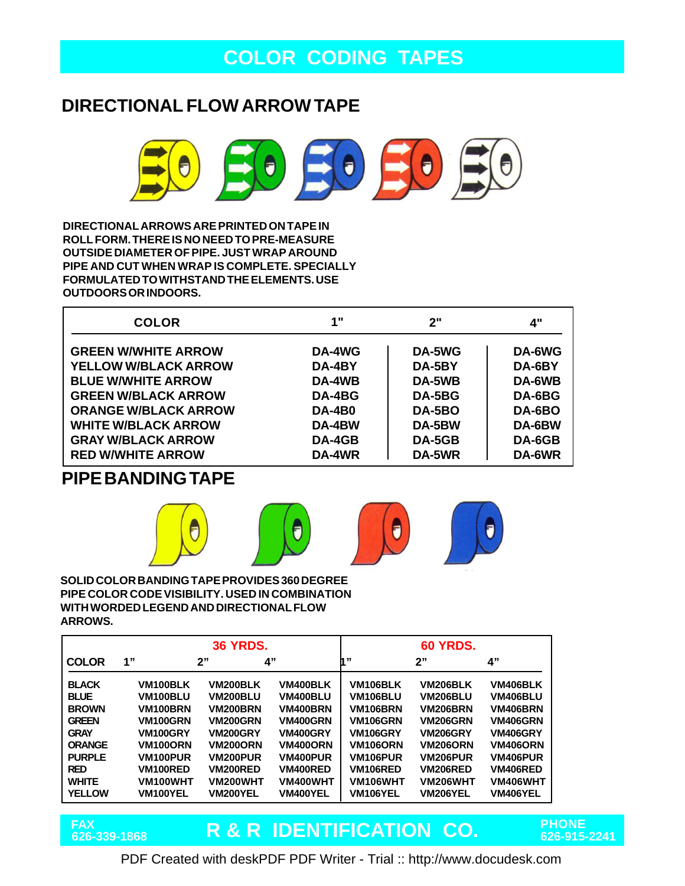## **COLOR CODING TAPES**

## **DIRECTIONAL FLOW ARROW TAPE**



**DIRECTIONAL ARROWS ARE PRINTED ON TAPE IN ROLL FORM. THERE IS NO NEED TO PRE-MEASURE OUTSIDE DIAMETER OF PIPE. JUST WRAP AROUND PIPE AND CUT WHEN WRAP IS COMPLETE. SPECIALLY FORMULATED TO WITHSTAND THE ELEMENTS. USE OUTDOORS OR INDOORS.**

| <b>COLOR</b>                | 1"            | י"?    | 4"     |
|-----------------------------|---------------|--------|--------|
| <b>GREEN W/WHITE ARROW</b>  | DA-4WG        | DA-5WG | DA-6WG |
| <b>YELLOW W/BLACK ARROW</b> | DA-4BY        | DA-5BY | DA-6BY |
| <b>BLUE W/WHITE ARROW</b>   | DA-4WB        | DA-5WB | DA-6WB |
| <b>GREEN W/BLACK ARROW</b>  | DA-4BG        | DA-5BG | DA-6BG |
| <b>ORANGE W/BLACK ARROW</b> | <b>DA-4B0</b> | DA-5BO | DA-6BO |
| <b>WHITE W/BLACK ARROW</b>  | DA-4BW        | DA-5BW | DA-6BW |
| <b>GRAY W/BLACK ARROW</b>   | DA-4GB        | DA-5GB | DA-6GB |
| <b>RED W/WHITE ARROW</b>    | DA-4WR        | DA-5WR | DA-6WR |

### **PIPE BANDING TAPE**



#### **SOLID COLOR BANDING TAPE PROVIDES 360 DEGREE PIPE COLOR CODE VISIBILITY. USED IN COMBINATION WITH WORDED LEGEND AND DIRECTIONAL FLOW ARROWS.**

|               |                       | <b>36 YRDS.</b> |                 |                       | <b>60 YRDS.</b> |                 |
|---------------|-----------------------|-----------------|-----------------|-----------------------|-----------------|-----------------|
| <b>COLOR</b>  | 1"                    | 2"              | 4"              | la 99                 | 2"              | 4"              |
| <b>BLACK</b>  | VM <sub>100</sub> BLK | <b>VM200BLK</b> | VM400BLK        | VM106BLK              | VM206BLK        | <b>VM406BLK</b> |
| <b>BLUE</b>   | VM100BLU              | VM200BLU        | VM400BLU        | <b>VM106BLU</b>       | <b>VM206BLU</b> | <b>VM406BLU</b> |
| <b>BROWN</b>  | VM100BRN              | <b>VM200BRN</b> | <b>VM400BRN</b> | <b>VM106BRN</b>       | <b>VM206BRN</b> | <b>VM406BRN</b> |
| <b>GREEN</b>  | <b>VM100GRN</b>       | <b>VM200GRN</b> | <b>VM400GRN</b> | <b>VM106GRN</b>       | <b>VM206GRN</b> | <b>VM406GRN</b> |
| <b>GRAY</b>   | <b>VM100GRY</b>       | <b>VM200GRY</b> | <b>VM400GRY</b> | VM <sub>106GRY</sub>  | <b>VM206GRY</b> | <b>VM406GRY</b> |
| <b>ORANGE</b> | <b>VM100ORN</b>       | <b>VM200ORN</b> | <b>VM400ORN</b> | <b>VM106ORN</b>       | <b>VM206ORN</b> | <b>VM406ORN</b> |
| <b>PURPLE</b> | <b>VM100PUR</b>       | <b>VM200PUR</b> | <b>VM400PUR</b> | VM <sub>106</sub> PUR | VM206PUR        | <b>VM406PUR</b> |
| <b>RED</b>    | VM100RED              | <b>VM200RED</b> | <b>VM400RED</b> | VM106RED              | <b>VM206RED</b> | <b>VM406RED</b> |
| <b>WHITE</b>  | VM100WHT              | <b>VM200WHT</b> | VM400WHT        | VM106WHT              | VM206WHT        | VM406WHT        |
| <b>YELLOW</b> | VM100YEL              | VM200YEL        | VM400YEL        | VM106YEL              | <b>VM206YEL</b> | <b>VM406YEL</b> |

**R & R IDENTIFICATION CO. PHONE 626-339-1868 626-915-2241 FAX**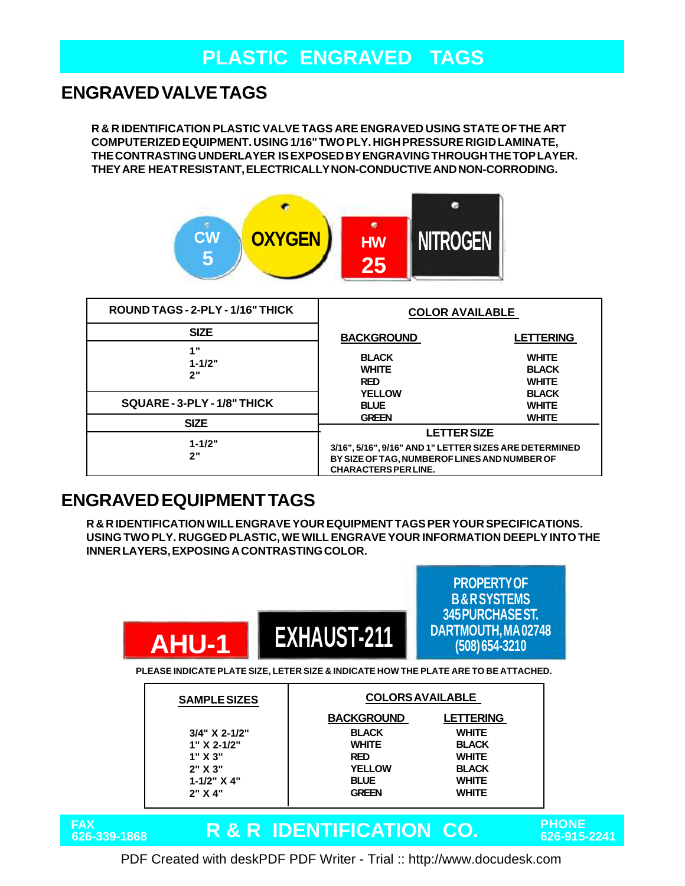# **PLASTIC ENGRAVED TAGS**

## **ENGRAVED VALVE TAGS**

**R & R IDENTIFICATION PLASTIC VALVE TAGS ARE ENGRAVED USING STATE OF THE ART COMPUTERIZED EQUIPMENT. USING 1/16" TWO PLY. HIGH PRESSURE RIGID LAMINATE, THE CONTRASTING UNDERLAYER IS EXPOSED BY ENGRAVING THROUGH THE TOP LAYER. THEY ARE HEAT RESISTANT, ELECTRICALLY NON-CONDUCTIVE AND NON-CORRODING.**



| ROUND TAGS - 2-PLY - 1/16" THICK | <b>COLOR AVAILABLE</b>                                                       |                                              |
|----------------------------------|------------------------------------------------------------------------------|----------------------------------------------|
| <b>SIZE</b>                      | <b>BACKGROUND</b>                                                            | <b>LETTERING</b>                             |
| 4 .<br>$1 - 1/2"$<br>2"          | <b>BLACK</b><br><b>WHITE</b><br><b>RED</b>                                   | <b>WHITE</b><br><b>BLACK</b><br><b>WHITE</b> |
| SQUARE - 3-PLY - 1/8" THICK      | <b>YELLOW</b><br><b>BLUE</b>                                                 | <b>BLACK</b><br><b>WHITE</b>                 |
| <b>SIZE</b>                      | <b>GREEN</b>                                                                 | <b>WHITE</b>                                 |
| $1 - 1/2"$                       | <b>LETTER SIZE</b><br>3/16", 5/16", 9/16" AND 1" LETTER SIZES ARE DETERMINED |                                              |
| 2"                               | BY SIZE OF TAG, NUMBER OF LINES AND NUMBER OF<br><b>CHARACTERS PER LINE.</b> |                                              |

### **ENGRAVED EQUIPMENT TAGS**

**R & R IDENTIFICATION WILL ENGRAVE YOUR EQUIPMENT TAGS PER YOUR SPECIFICATIONS. USING TWO PLY. RUGGED PLASTIC, WE WILL ENGRAVE YOUR INFORMATION DEEPLY INTO THE INNER LAYERS, EXPOSING A CONTRASTING COLOR.**

|                            | <b>AHU-1</b>        | <b>EXHAUST-211</b>                  | FNUFENTI UT<br><b>B&amp;RSYSTEMS</b><br><b>345 PURCHASE ST.</b><br>DARTMOUTH, MA02748<br>(508) 654-3210 |
|----------------------------|---------------------|-------------------------------------|---------------------------------------------------------------------------------------------------------|
|                            |                     |                                     | PLEASE INDICATE PLATE SIZE, LETER SIZE & INDICATE HOW THE PLATE ARE TO BE ATTACHED.                     |
|                            | <b>SAMPLE SIZES</b> |                                     | <b>COLORS AVAILABLE</b>                                                                                 |
|                            |                     | <b>BACKGROUND</b>                   | <b>LETTERING</b>                                                                                        |
|                            | 3/4" X 2-1/2"       | <b>BLACK</b>                        | <b>WHITE</b>                                                                                            |
|                            | $1" X 2-1/2"$       | <b>WHITE</b>                        | <b>BLACK</b>                                                                                            |
|                            | 1" X 3"             | <b>RED</b>                          | <b>WHITE</b>                                                                                            |
|                            | 2" X 3"             | <b>YELLOW</b>                       | <b>BLACK</b>                                                                                            |
|                            | $1 - 1/2" X 4"$     | <b>BLUE</b>                         | <b>WHITE</b>                                                                                            |
|                            | 2" X 4"             | <b>GREEN</b>                        | <b>WHITE</b>                                                                                            |
| <b>FAX</b><br>626-339-1868 |                     | <u>R &amp; R IDENTIFICATION CO.</u> | РНС<br>626-                                                                                             |

**R & R IDENTIFICATION CO. PHONE 626-339-1868 626-915-2241**

**PROPERTY OF**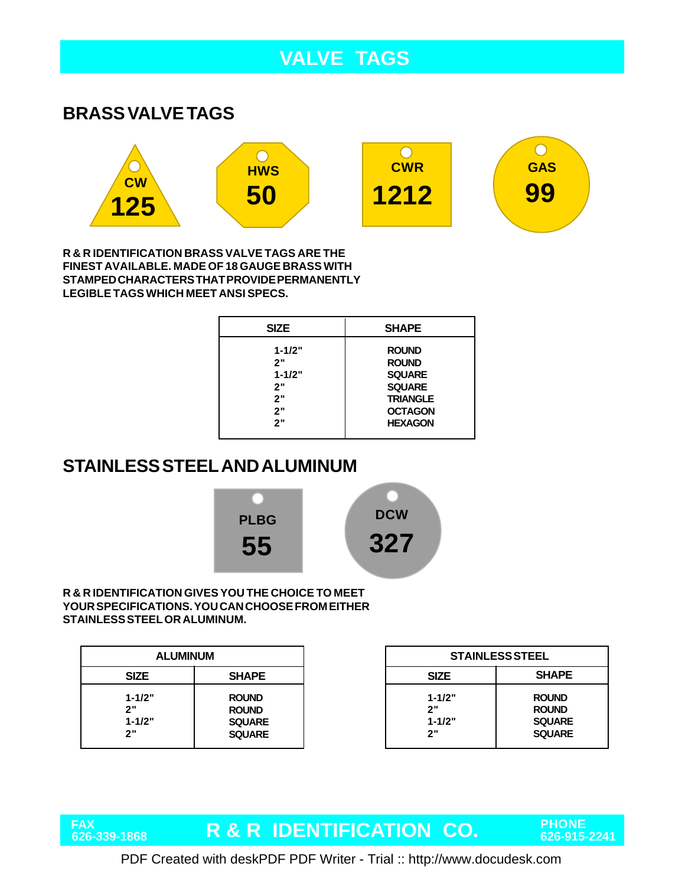## **VALVE TAGS**

#### **BRASS VALVE TAGS**



**R & R IDENTIFICATION BRASS VALVE TAGS ARE THE FINEST AVAILABLE. MADE OF 18 GAUGE BRASS WITH STAMPED CHARACTERS THAT PROVIDE PERMANENTLY LEGIBLE TAGS WHICH MEET ANSI SPECS.**

| <b>SIZE</b>                                      | <b>SHAPE</b>                                                                                        |
|--------------------------------------------------|-----------------------------------------------------------------------------------------------------|
| $1 - 1/2"$<br>2"<br>$1 - 1/2"$<br>2"<br>2"<br>2" | <b>ROUND</b><br><b>ROUND</b><br><b>SQUARE</b><br><b>SQUARE</b><br><b>TRIANGLE</b><br><b>OCTAGON</b> |
| 2"                                               | <b>HEXAGON</b>                                                                                      |

## **STAINLESS STEEL AND ALUMINUM**



#### **R & R IDENTIFICATION GIVES YOU THE CHOICE TO MEET YOUR SPECIFICATIONS. YOU CAN CHOOSE FROM EITHER STAINLESS STEEL OR ALUMINUM.**

**FAX**

| <b>ALUMINUM</b>                      |                                                                |                                      | <b>STAINLESS STEEL</b>                                         |
|--------------------------------------|----------------------------------------------------------------|--------------------------------------|----------------------------------------------------------------|
| <b>SIZE</b>                          | <b>SHAPE</b>                                                   | <b>SIZE</b>                          | <b>SHAPE</b>                                                   |
| $1 - 1/2"$<br>2"<br>$1 - 1/2"$<br>2" | <b>ROUND</b><br><b>ROUND</b><br><b>SQUARE</b><br><b>SQUARE</b> | $1 - 1/2"$<br>2"<br>$1 - 1/2"$<br>2" | <b>ROUND</b><br><b>ROUND</b><br><b>SQUARE</b><br><b>SQUARE</b> |

# **R & R IDENTIFICATION CO. PHONE 626-339-1868 626-915-2241**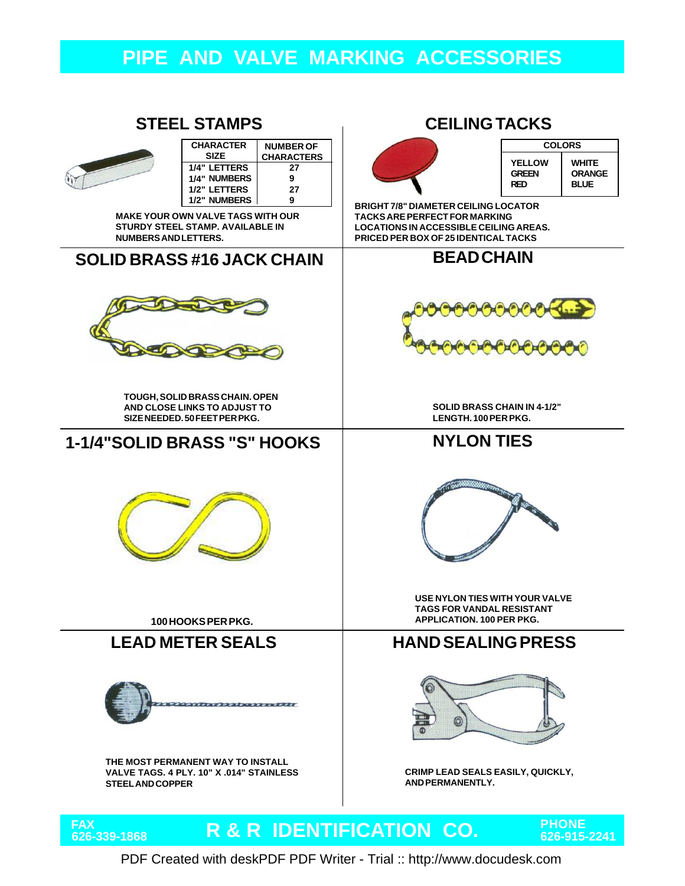## **PIPE AND VALVE MARKING ACCESSORIES**

#### **STEEL STAMPS CEILING TACKS**



| <b>CHARACTER</b> | <b>NUMBER OF</b>  |
|------------------|-------------------|
| <b>SIZE</b>      | <b>CHARACTERS</b> |
| 1/4" LETTERS     | 27                |
| 1/4" NUMBERS     | 9                 |
| 1/2" LETTERS     | 27                |
| 1/2" NUMBERS     | g                 |

**MAKE YOUR OWN VALVE TAGS WITH OUR STURDY STEEL STAMP. AVAILABLE IN NUMBERS AND LETTERS.**

#### **SOLID BRASS #16 JACK CHAIN**



**TOUGH, SOLID BRASS CHAIN. OPEN AND CLOSE LINKS TO ADJUST TO SIZE NEEDED. 50 FEET PER PKG.**

#### **1-1/4"SOLID BRASS "S" HOOKS**



**100 HOOKS PER PKG.**



**THE MOST PERMANENT WAY TO INSTALL VALVE TAGS. 4 PLY. 10" X .014" STAINLESS STEEL AND COPPER**



| <b>COLORS</b>                 |                        |  |  |  |
|-------------------------------|------------------------|--|--|--|
| <b>YELLOW</b><br><b>GREEN</b> | WHITE<br><b>ORANGE</b> |  |  |  |
| RFD                           | <b>BLUE</b>            |  |  |  |

**BRIGHT 7/8" DIAMETER CEILING LOCATOR TACKS ARE PERFECT FOR MARKING LOCATIONS IN ACCESSIBLE CEILING AREAS. PRICED PER BOX OF 25 IDENTICAL TACKS**

#### **BEAD CHAIN**



**SOLID BRASS CHAIN IN 4-1/2" LENGTH. 100 PER PKG.**

#### **NYLON TIES**



**USE NYLON TIES WITH YOUR VALVE TAGS FOR VANDAL RESISTANT APPLICATION. 100 PER PKG.**

#### **LEAD METER SEALS HAND SEALING PRESS**



**CRIMP LEAD SEALS EASILY, QUICKLY, AND PERMANENTLY.**

#### **R & R IDENTIFICATION CO. PHONE 626-339-1868 626-915-2241** FAX<br>626-339-1868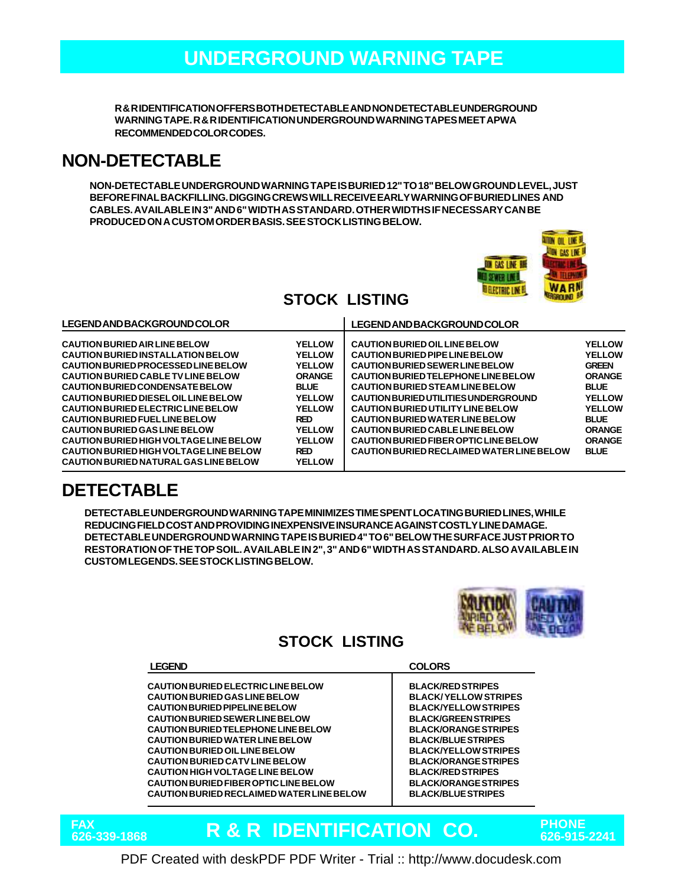## **UNDERGROUND WARNING TAPE**

**R & R IDENTIFICATION OFFERS BOTH DETECTABLE AND NON DETECTABLE UNDERGROUND WARNING TAPE. R & R IDENTIFICATION UNDERGROUND WARNING TAPES MEET APWA RECOMMENDED COLOR CODES.**

### **NON-DETECTABLE**

**NON-DETECTABLE UNDERGROUND WARNING TAPE IS BURIED 12" TO 18" BELOW GROUND LEVEL, JUST BEFORE FINAL BACKFILLING. DIGGING CREWS WILL RECEIVE EARLY WARNING OF BURIED LINES AND CABLES. AVAILABLE IN 3" AND 6" WIDTH AS STANDARD. OTHER WIDTHS IF NECESSARY CAN BE PRODUCED ON A CUSTOM ORDER BASIS. SEE STOCK LISTING BELOW.**



## **STOCK LISTING**

### **DETECTABLE**

**DETECTABLE UNDERGROUND WARNING TAPE MINIMIZES TIME SPENT LOCATING BURIED LINES, WHILE REDUCING FIELD COST AND PROVIDING INEXPENSIVE INSURANCE AGAINST COSTLY LINE DAMAGE. DETECTABLE UNDERGROUND WARNING TAPE IS BURIED 4" TO 6" BELOW THE SURFACE JUST PRIOR TO RESTORATION OF THE TOP SOIL. AVAILABLE IN 2", 3" AND 6" WIDTH AS STANDARD. ALSO AVAILABLE IN CUSTOM LEGENDS. SEE STOCK LISTING BELOW.**



### **STOCK LISTING**

#### **LEGEND COLORS**

**CAUTION BURIED ELECTRIC LINE BELOW CAUTION BURIED GAS LINE BELOW CAUTION BURIED PIPELINE BELOW CAUTION BURIED SEWER LINE BELOW CAUTION BURIED TELEPHONE LINE BELOW CAUTION BURIED WATER LINE BELOW CAUTION BURIED OIL LINE BELOW CAUTION BURIED CATV LINE BELOW CAUTION HIGH VOLTAGE LINE BELOW CAUTION BURIED FIBER OPTIC LINE BELOW CAUTION BURIED RECLAIMED WATER LINE BELOW**

**BLACK/RED STRIPES BLACK/ YELLOW STRIPES BLACK/YELLOW STRIPES BLACK/GREEN STRIPES BLACK/ORANGE STRIPES BLACK/BLUE STRIPES BLACK/YELLOW STRIPES BLACK/ORANGE STRIPES BLACK/RED STRIPES BLACK/ORANGE STRIPES BLACK/BLUE STRIPES**

#### **R & R IDENTIFICATION CO. PHONE 626-339-1868 626-915-2241** FAX<br>626-339-1868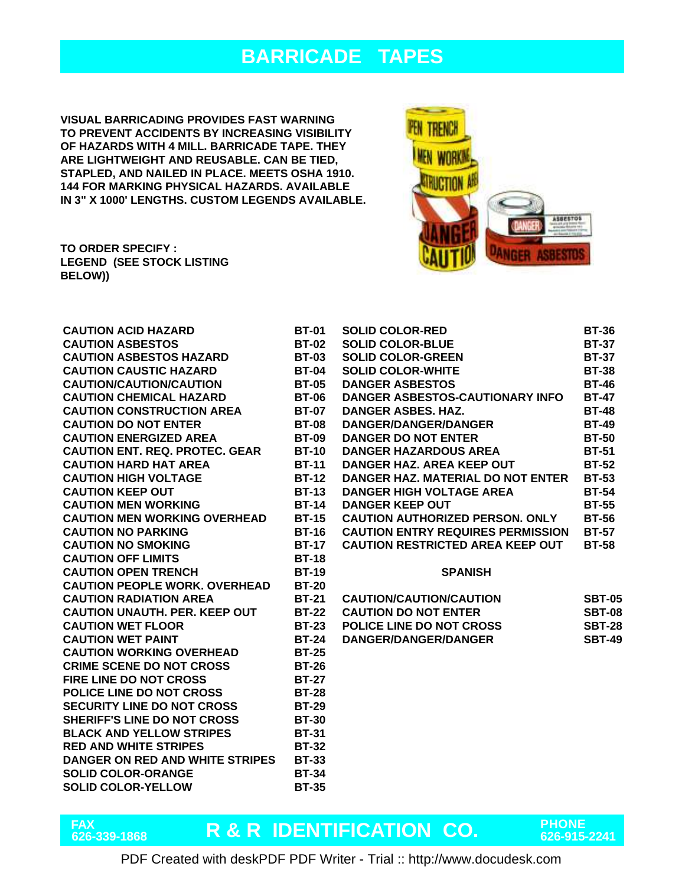## **BARRICADE TAPES**

**VISUAL BARRICADING PROVIDES FAST WARNING TO PREVENT ACCIDENTS BY INCREASING VISIBILITY OF HAZARDS WITH 4 MILL. BARRICADE TAPE. THEY ARE LIGHTWEIGHT AND REUSABLE. CAN BE TIED, STAPLED, AND NAILED IN PLACE. MEETS OSHA 1910. 144 FOR MARKING PHYSICAL HAZARDS. AVAILABLE IN 3" X 1000' LENGTHS. CUSTOM LEGENDS AVAILABLE.**



**FAX**

| <b>CAUTION ACID HAZARD</b>            | <b>BT-01</b> | <b>SOLID COLOR-RED</b>                   | <b>BT-36</b>  |
|---------------------------------------|--------------|------------------------------------------|---------------|
| <b>CAUTION ASBESTOS</b>               | <b>BT-02</b> | <b>SOLID COLOR-BLUE</b>                  | <b>BT-37</b>  |
| <b>CAUTION ASBESTOS HAZARD</b>        | <b>BT-03</b> | <b>SOLID COLOR-GREEN</b>                 | <b>BT-37</b>  |
| <b>CAUTION CAUSTIC HAZARD</b>         | <b>BT-04</b> | <b>SOLID COLOR-WHITE</b>                 | <b>BT-38</b>  |
| <b>CAUTION/CAUTION/CAUTION</b>        | <b>BT-05</b> | <b>DANGER ASBESTOS</b>                   | <b>BT-46</b>  |
| <b>CAUTION CHEMICAL HAZARD</b>        | <b>BT-06</b> | DANGER ASBESTOS-CAUTIONARY INFO          | <b>BT-47</b>  |
| <b>CAUTION CONSTRUCTION AREA</b>      | <b>BT-07</b> | <b>DANGER ASBES, HAZ.</b>                | <b>BT-48</b>  |
| <b>CAUTION DO NOT ENTER</b>           | <b>BT-08</b> | <b>DANGER/DANGER/DANGER</b>              | <b>BT-49</b>  |
| <b>CAUTION ENERGIZED AREA</b>         | <b>BT-09</b> | <b>DANGER DO NOT ENTER</b>               | <b>BT-50</b>  |
| <b>CAUTION ENT. REQ. PROTEC. GEAR</b> | <b>BT-10</b> | <b>DANGER HAZARDOUS AREA</b>             | <b>BT-51</b>  |
| <b>CAUTION HARD HAT AREA</b>          | <b>BT-11</b> | DANGER HAZ. AREA KEEP OUT                | <b>BT-52</b>  |
| <b>CAUTION HIGH VOLTAGE</b>           | <b>BT-12</b> | DANGER HAZ. MATERIAL DO NOT ENTER        | <b>BT-53</b>  |
| <b>CAUTION KEEP OUT</b>               | <b>BT-13</b> | <b>DANGER HIGH VOLTAGE AREA</b>          | <b>BT-54</b>  |
| <b>CAUTION MEN WORKING</b>            | <b>BT-14</b> | <b>DANGER KEEP OUT</b>                   | <b>BT-55</b>  |
| <b>CAUTION MEN WORKING OVERHEAD</b>   | <b>BT-15</b> | <b>CAUTION AUTHORIZED PERSON. ONLY</b>   | <b>BT-56</b>  |
| <b>CAUTION NO PARKING</b>             | <b>BT-16</b> | <b>CAUTION ENTRY REQUIRES PERMISSION</b> | <b>BT-57</b>  |
| <b>CAUTION NO SMOKING</b>             | <b>BT-17</b> | <b>CAUTION RESTRICTED AREA KEEP OUT</b>  | <b>BT-58</b>  |
| <b>CAUTION OFF LIMITS</b>             | <b>BT-18</b> |                                          |               |
| <b>CAUTION OPEN TRENCH</b>            | <b>BT-19</b> | <b>SPANISH</b>                           |               |
| <b>CAUTION PEOPLE WORK. OVERHEAD</b>  | <b>BT-20</b> |                                          |               |
| <b>CAUTION RADIATION AREA</b>         | <b>BT-21</b> | <b>CAUTION/CAUTION/CAUTION</b>           | <b>SBT-05</b> |
| <b>CAUTION UNAUTH, PER, KEEP OUT</b>  | <b>BT-22</b> | <b>CAUTION DO NOT ENTER</b>              | <b>SBT-08</b> |
| <b>CAUTION WET FLOOR</b>              | <b>BT-23</b> | <b>POLICE LINE DO NOT CROSS</b>          | <b>SBT-28</b> |
| <b>CAUTION WET PAINT</b>              | <b>BT-24</b> | <b>DANGER/DANGER/DANGER</b>              | <b>SBT-49</b> |
| <b>CAUTION WORKING OVERHEAD</b>       | <b>BT-25</b> |                                          |               |
| <b>CRIME SCENE DO NOT CROSS</b>       | <b>BT-26</b> |                                          |               |
| <b>FIRE LINE DO NOT CROSS</b>         | <b>BT-27</b> |                                          |               |
| <b>POLICE LINE DO NOT CROSS</b>       | <b>BT-28</b> |                                          |               |
| <b>SECURITY LINE DO NOT CROSS</b>     | <b>BT-29</b> |                                          |               |
| <b>SHERIFF'S LINE DO NOT CROSS</b>    | <b>BT-30</b> |                                          |               |
| <b>BLACK AND YELLOW STRIPES</b>       | <b>BT-31</b> |                                          |               |
| <b>RED AND WHITE STRIPES</b>          | <b>BT-32</b> |                                          |               |
| DANGER ON RED AND WHITE STRIPES       | <b>BT-33</b> |                                          |               |
| <b>SOLID COLOR-ORANGE</b>             | <b>BT-34</b> |                                          |               |
| <b>SOLID COLOR-YELLOW</b>             | <b>BT-35</b> |                                          |               |

# **R & R IDENTIFICATION CO. PHONE 626-339-1868 626-915-2241**

**ASBESTOS** 

**ANGER ASBESTOS**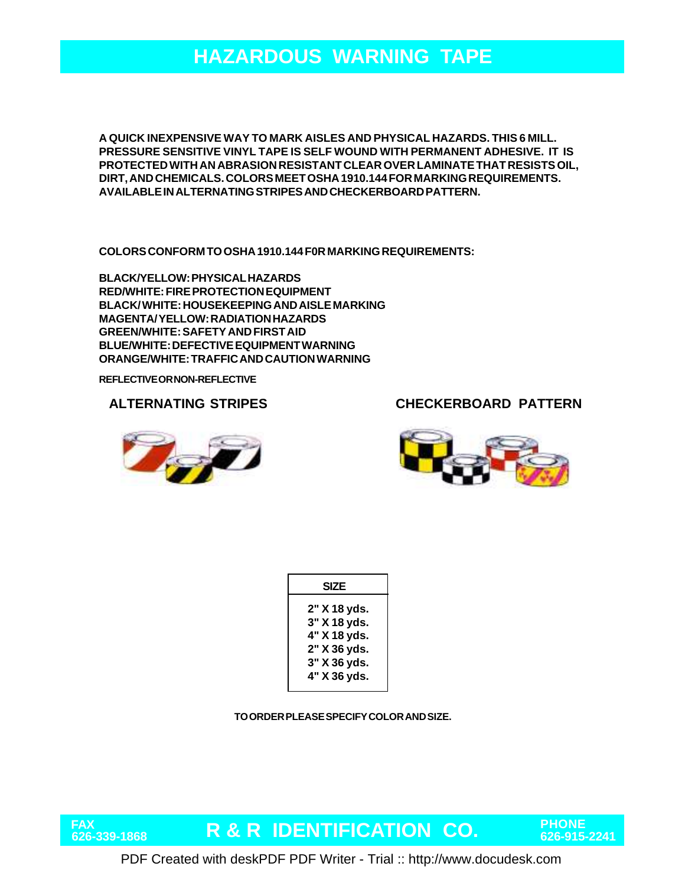## **HAZARDOUS WARNING TAPE**

**A QUICK INEXPENSIVE WAY TO MARK AISLES AND PHYSICAL HAZARDS. THIS 6 MILL. PRESSURE SENSITIVE VINYL TAPE IS SELF WOUND WITH PERMANENT ADHESIVE. IT IS PROTECTED WITH AN ABRASION RESISTANT CLEAR OVER LAMINATE THAT RESISTS OIL, DIRT, AND CHEMICALS. COLORS MEET OSHA 1910.144 FOR MARKING REQUIREMENTS. AVAILABLE IN ALTERNATING STRIPES AND CHECKERBOARD PATTERN.**

**COLORS CONFORM TO OSHA 1910.144 F0R MARKING REQUIREMENTS:**

**BLACK/YELLOW: PHYSICAL HAZARDS RED/WHITE: FIRE PROTECTION EQUIPMENT BLACK/ WHITE: HOUSEKEEPING AND AISLE MARKING MAGENTA/ YELLOW: RADIATION HAZARDS GREEN/WHITE: SAFETY AND FIRST AID BLUE/WHITE: DEFECTIVE EQUIPMENT WARNING ORANGE/WHITE: TRAFFIC AND CAUTION WARNING**

**REFLECTIVE OR NON-REFLECTIVE**

**ALTERNATING STRIPES**



**FAX**

**CHECKERBOARD PATTERN**



| <b>SIZE</b>                                                                  |  |  |
|------------------------------------------------------------------------------|--|--|
| 2" X 18 yds.<br>3" X 18 yds.<br>4" X 18 yds.<br>2" X 36 yds.<br>3" X 36 yds. |  |  |
| 4" X 36 yds.                                                                 |  |  |

**TO ORDER PLEASE SPECIFY COLOR AND SIZE.**

**R & R IDENTIFICATION CO. PHONE 626-339-1868 626-915-2241**

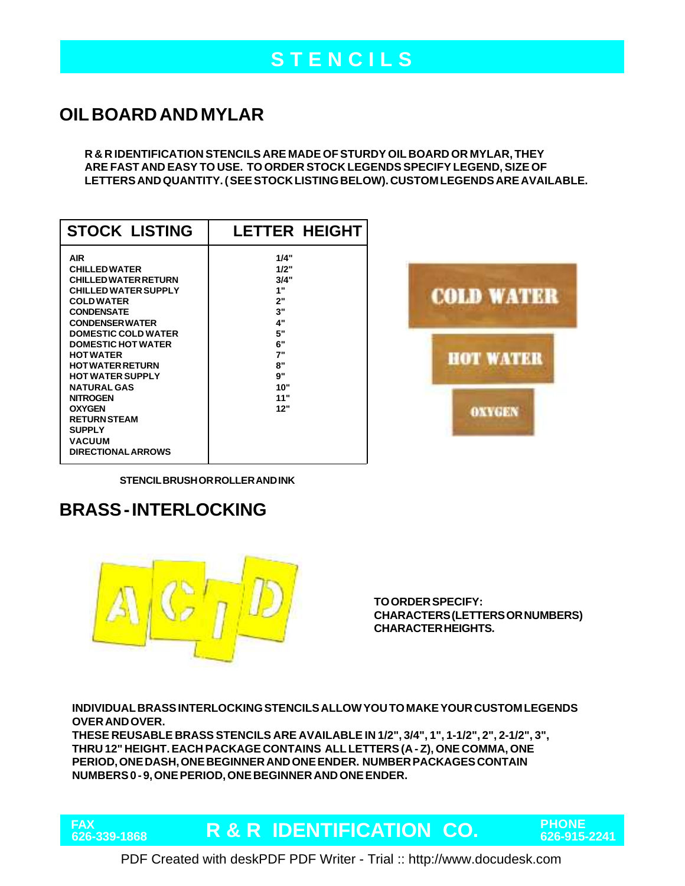# **S T E N C I L S**

## **OIL BOARD AND MYLAR**

**R & R IDENTIFICATION STENCILS ARE MADE OF STURDY OIL BOARD OR MYLAR, THEY ARE FAST AND EASY TO USE. TO ORDER STOCK LEGENDS SPECIFY LEGEND, SIZE OF LETTERS AND QUANTITY. ( SEE STOCK LISTING BELOW). CUSTOM LEGENDS ARE AVAILABLE.**

| <b>STOCK LISTING</b>                                                                                                                                                                                                                                                                                                                                                                                                                                      | <b>LETTER HEIGHT</b>                                                                            |
|-----------------------------------------------------------------------------------------------------------------------------------------------------------------------------------------------------------------------------------------------------------------------------------------------------------------------------------------------------------------------------------------------------------------------------------------------------------|-------------------------------------------------------------------------------------------------|
| <b>AIR</b><br><b>CHILLED WATER</b><br><b>CHILLED WATER RETURN</b><br><b>CHILLED WATER SUPPLY</b><br><b>COLD WATER</b><br><b>CONDENSATE</b><br><b>CONDENSER WATER</b><br><b>DOMESTIC COLD WATER</b><br><b>DOMESTIC HOT WATER</b><br><b>HOT WATER</b><br><b>HOT WATER RETURN</b><br><b>HOT WATER SUPPLY</b><br><b>NATURAL GAS</b><br><b>NITROGEN</b><br><b>OXYGEN</b><br><b>RETURN STEAM</b><br><b>SUPPLY</b><br><b>VACUUM</b><br><b>DIRECTIONAL ARROWS</b> | 1/4"<br>1/2"<br>3/4"<br>1"<br>2"<br>3"<br>4"<br>5"<br>6"<br>7"<br>8"<br>9"<br>10"<br>11"<br>12" |



**STENCIL BRUSH OR ROLLER AND INK**

## **BRASS - INTERLOCKING**

FAX<br>626-339-1868



**TO ORDER SPECIFY: CHARACTERS (LETTERS OR NUMBERS) CHARACTER HEIGHTS.**

**INDIVIDUAL BRASS INTERLOCKING STENCILS ALLOW YOU TO MAKE YOUR CUSTOM LEGENDS OVER AND OVER.**

**THESE REUSABLE BRASS STENCILS ARE AVAILABLE IN 1/2", 3/4", 1", 1-1/2", 2", 2-1/2", 3", THRU 12" HEIGHT. EACH PACKAGE CONTAINS ALL LETTERS (A - Z), ONE COMMA, ONE PERIOD, ONE DASH, ONE BEGINNER AND ONE ENDER. NUMBER PACKAGES CONTAIN NUMBERS 0 - 9, ONE PERIOD, ONE BEGINNER AND ONE ENDER.**

**R & R IDENTIFICATION CO. PHONE 626-339-1868 626-915-2241**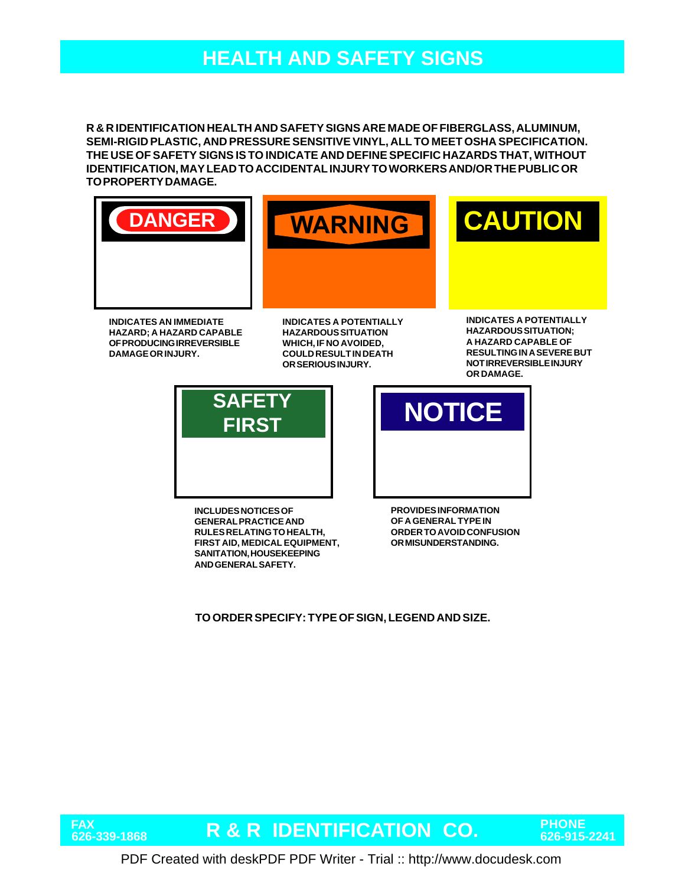## **HEALTH AND SAFETY SIGNS**

**R & R IDENTIFICATION HEALTH AND SAFETY SIGNS ARE MADE OF FIBERGLASS, ALUMINUM, SEMI-RIGID PLASTIC, AND PRESSURE SENSITIVE VINYL, ALL TO MEET OSHA SPECIFICATION. THE USE OF SAFETY SIGNS IS TO INDICATE AND DEFINE SPECIFIC HAZARDS THAT, WITHOUT IDENTIFICATION, MAY LEAD TO ACCIDENTAL INJURY TO WORKERS AND/OR THE PUBLIC OR TO PROPERTY DAMAGE.**







**INDICATES AN IMMEDIATE HAZARD; A HAZARD CAPABLE OF PRODUCING IRREVERSIBLE DAMAGE OR INJURY.**

**INDICATES A POTENTIALLY HAZARDOUS SITUATION WHICH, IF NO AVOIDED, COULD RESULT IN DEATH OR SERIOUS INJURY.**

**INDICATES A POTENTIALLY HAZARDOUS SITUATION; A HAZARD CAPABLE OF RESULTING IN A SEVERE BUT NOT IRREVERSIBLE INJURY OR DAMAGE.**



**INCLUDES NOTICES OF GENERAL PRACTICE AND RULES RELATING TO HEALTH, FIRST AID, MEDICAL EQUIPMENT, SANITATION, HOUSEKEEPING AND GENERAL SAFETY.**

**FIRST NOTICE** 

**PROVIDES INFORMATION OF A GENERAL TYPE IN ORDER TO AVOID CONFUSION OR MISUNDERSTANDING.**

**TO ORDER SPECIFY: TYPE OF SIGN, LEGEND AND SIZE.**

**FAX**

**R & R IDENTIFICATION CO. PHONE 626-339-1868 626-915-2241**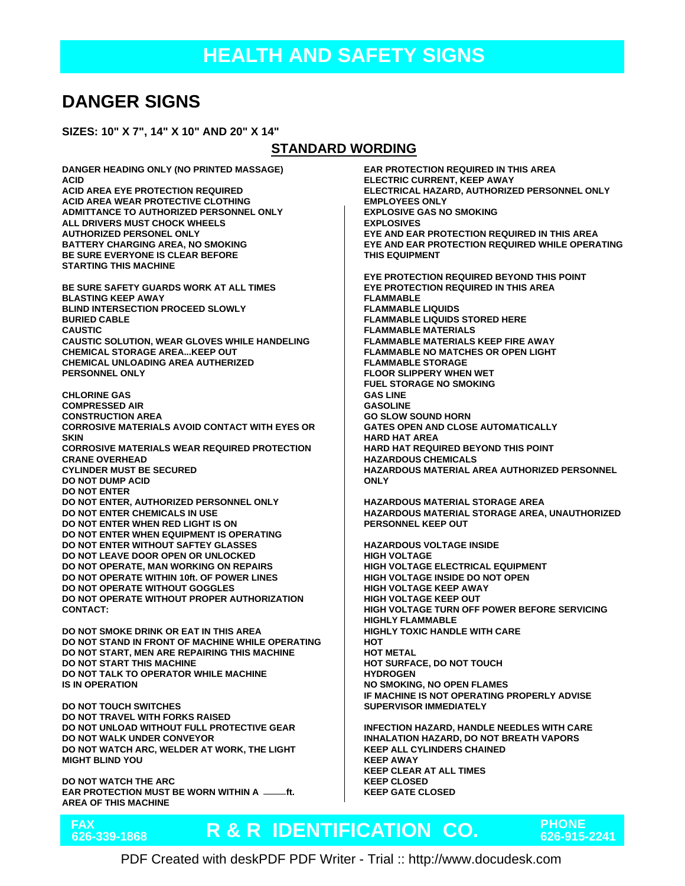## **DANGER SIGNS**

**SIZES: 10" X 7", 14" X 10" AND 20" X 14"**

#### **STANDARD WORDING**

**DANGER HEADING ONLY (NO PRINTED MASSAGE) ACID ACID AREA EYE PROTECTION REQUIRED ACID AREA WEAR PROTECTIVE CLOTHING ADMITTANCE TO AUTHORIZED PERSONNEL ONLY ALL DRIVERS MUST CHOCK WHEELS AUTHORIZED PERSONEL ONLY BATTERY CHARGING AREA, NO SMOKING BE SURE EVERYONE IS CLEAR BEFORE STARTING THIS MACHINE BE SURE SAFETY GUARDS WORK AT ALL TIMES BLASTING KEEP AWAY BLIND INTERSECTION PROCEED SLOWLY BURIED CABLE CAUSTIC CAUSTIC SOLUTION, WEAR GLOVES WHILE HANDELING CHEMICAL STORAGE AREA...KEEP OUT CHEMICAL UNLOADING AREA AUTHERIZED PERSONNEL ONLY CHLORINE GAS COMPRESSED AIR CONSTRUCTION AREA CORROSIVE MATERIALS AVOID CONTACT WITH EYES OR SKIN CORROSIVE MATERIALS WEAR REQUIRED PROTECTION CRANE OVERHEAD CYLINDER MUST BE SECURED DO NOT DUMP ACID DO NOT ENTER DO NOT ENTER, AUTHORIZED PERSONNEL ONLY DO NOT ENTER CHEMICALS IN USE DO NOT ENTER WHEN RED LIGHT IS ON**

**DO NOT ENTER WHEN EQUIPMENT IS OPERATING DO NOT ENTER WITHOUT SAFTEY GLASSES DO NOT LEAVE DOOR OPEN OR UNLOCKED DO NOT OPERATE, MAN WORKING ON REPAIRS DO NOT OPERATE WITHIN 10ft. OF POWER LINES DO NOT OPERATE WITHOUT GOGGLES DO NOT OPERATE WITHOUT PROPER AUTHORIZATION CONTACT:**

**DO NOT SMOKE DRINK OR EAT IN THIS AREA DO NOT STAND IN FRONT OF MACHINE WHILE OPERATING DO NOT START, MEN ARE REPAIRING THIS MACHINE DO NOT START THIS MACHINE DO NOT TALK TO OPERATOR WHILE MACHINE IS IN OPERATION**

**DO NOT TOUCH SWITCHES DO NOT TRAVEL WITH FORKS RAISED DO NOT UNLOAD WITHOUT FULL PROTECTIVE GEAR DO NOT WALK UNDER CONVEYOR DO NOT WATCH ARC, WELDER AT WORK, THE LIGHT MIGHT BLIND YOU**

**DO NOT WATCH THE ARC EAR PROTECTION MUST BE WORN WITHIN A ft. AREA OF THIS MACHINE**

FAX<br>626-339-1868

**EAR PROTECTION REQUIRED IN THIS AREA ELECTRIC CURRENT, KEEP AWAY ELECTRICAL HAZARD, AUTHORIZED PERSONNEL ONLY EMPLOYEES ONLY EXPLOSIVE GAS NO SMOKING EXPLOSIVES EYE AND EAR PROTECTION REQUIRED IN THIS AREA EYE AND EAR PROTECTION REQUIRED WHILE OPERATING THIS EQUIPMENT EYE PROTECTION REQUIRED BEYOND THIS POINT EYE PROTECTION REQUIRED IN THIS AREA FLAMMABLE FLAMMABLE LIQUIDS FLAMMABLE LIQUIDS STORED HERE FLAMMABLE MATERIALS FLAMMABLE MATERIALS KEEP FIRE AWAY FLAMMABLE NO MATCHES OR OPEN LIGHT FLAMMABLE STORAGE FLOOR SLIPPERY WHEN WET FUEL STORAGE NO SMOKING GAS LINE GASOLINE GO SLOW SOUND HORN GATES OPEN AND CLOSE AUTOMATICALLY HARD HAT AREA HARD HAT REQUIRED BEYOND THIS POINT HAZARDOUS CHEMICALS HAZARDOUS MATERIAL AREA AUTHORIZED PERSONNEL ONLY HAZARDOUS MATERIAL STORAGE AREA HAZARDOUS MATERIAL STORAGE AREA, UNAUTHORIZED PERSONNEL KEEP OUT**

**HAZARDOUS VOLTAGE INSIDE HIGH VOLTAGE HIGH VOLTAGE ELECTRICAL EQUIPMENT HIGH VOLTAGE INSIDE DO NOT OPEN HIGH VOLTAGE KEEP AWAY HIGH VOLTAGE KEEP OUT HIGH VOLTAGE TURN OFF POWER BEFORE SERVICING HIGHLY FLAMMABLE HIGHLY TOXIC HANDLE WITH CARE HOT HOT METAL HOT SURFACE, DO NOT TOUCH HYDROGEN NO SMOKING, NO OPEN FLAMES IF MACHINE IS NOT OPERATING PROPERLY ADVISE SUPERVISOR IMMEDIATELY**

**INFECTION HAZARD, HANDLE NEEDLES WITH CARE INHALATION HAZARD, DO NOT BREATH VAPORS KEEP ALL CYLINDERS CHAINED KEEP AWAY KEEP CLEAR AT ALL TIMES KEEP CLOSED KEEP GATE CLOSED**

# **R & R IDENTIFICATION CO. PHONE 626-339-1868 626-915-2241**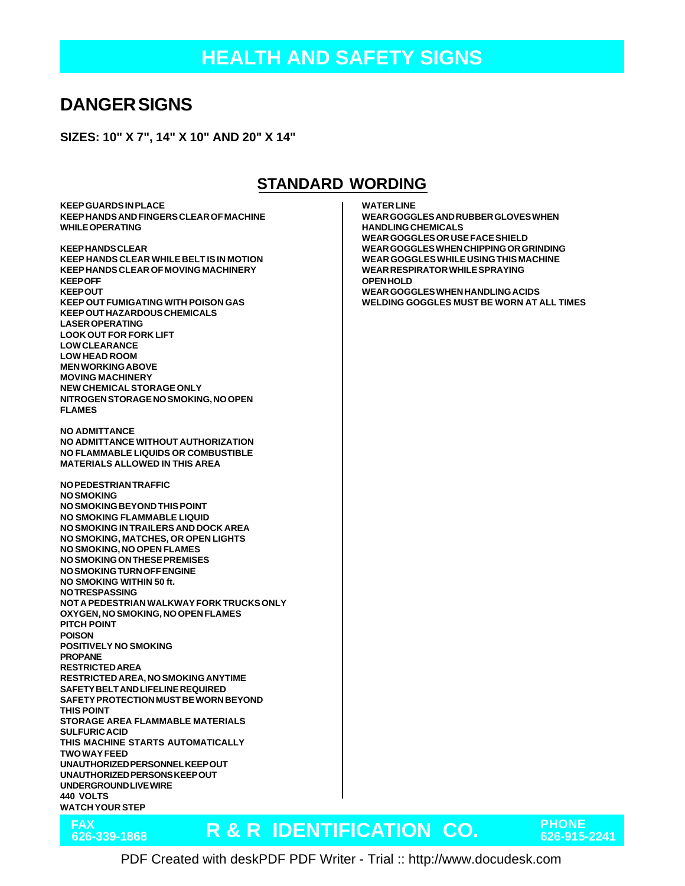### **DANGER SIGNS**

**SIZES: 10" X 7", 14" X 10" AND 20" X 14"**

#### **STANDARD WORDING**

**KEEP GUARDS IN PLACE KEEP HANDS AND FINGERS CLEAR OF MACHINE WHILE OPERATING**

**KEEP HANDS CLEAR KEEP HANDS CLEAR WHILE BELT IS IN MOTION KEEP HANDS CLEAR OF MOVING MACHINERY KEEP OFF KEEP OUT KEEP OUT FUMIGATING WITH POISON GAS KEEP OUT HAZARDOUS CHEMICALS LASER OPERATING LOOK OUT FOR FORK LIFT LOW CLEARANCE LOW HEAD ROOM MEN WORKING ABOVE MOVING MACHINERY NEW CHEMICAL STORAGE ONLY NITROGEN STORAGE NO SMOKING, NO OPEN FLAMES**

**NO ADMITTANCE NO ADMITTANCE WITHOUT AUTHORIZATION NO FLAMMABLE LIQUIDS OR COMBUSTIBLE MATERIALS ALLOWED IN THIS AREA**

**NO PEDESTRIAN TRAFFIC NO SMOKING NO SMOKING BEYOND THIS POINT NO SMOKING FLAMMABLE LIQUID NO SMOKING IN TRAILERS AND DOCK AREA NO SMOKING, MATCHES, OR OPEN LIGHTS NO SMOKING, NO OPEN FLAMES NO SMOKING ON THESE PREMISES NO SMOKING TURN OFF ENGINE NO SMOKING WITHIN 50 ft. NO TRESPASSING NOT A PEDESTRIAN WALKWAY FORK TRUCKS ONLY OXYGEN, NO SMOKING, NO OPEN FLAMES PITCH POINT POISON POSITIVELY NO SMOKING PROPANE RESTRICTED AREA RESTRICTED AREA, NO SMOKING ANYTIME SAFETY BELT AND LIFELINE REQUIRED SAFETY PROTECTION MUST BE WORN BEYOND THIS POINT STORAGE AREA FLAMMABLE MATERIALS SULFURIC ACID THIS MACHINE STARTS AUTOMATICALLY TWO WAY FEED UNAUTHORIZED PERSONNEL KEEP OUT UNAUTHORIZED PERSONS KEEP OUT UNDERGROUND LIVE WIRE 440 VOLTS WATCH YOUR STEP**

**FAX**

**WATER LINE**

**WEAR GOGGLES AND RUBBER GLOVES WHEN HANDLING CHEMICALS WEAR GOGGLES OR USE FACE SHIELD WEAR GOGGLES WHEN CHIPPING OR GRINDING WEAR GOGGLES WHILE USING THIS MACHINE WEAR RESPIRATOR WHILE SPRAYING OPEN HOLD WEAR GOGGLES WHEN HANDLING ACIDS WELDING GOGGLES MUST BE WORN AT ALL TIMES**

# **R & R IDENTIFICATION CO. PHONE 626-339-1868 626-915-2241**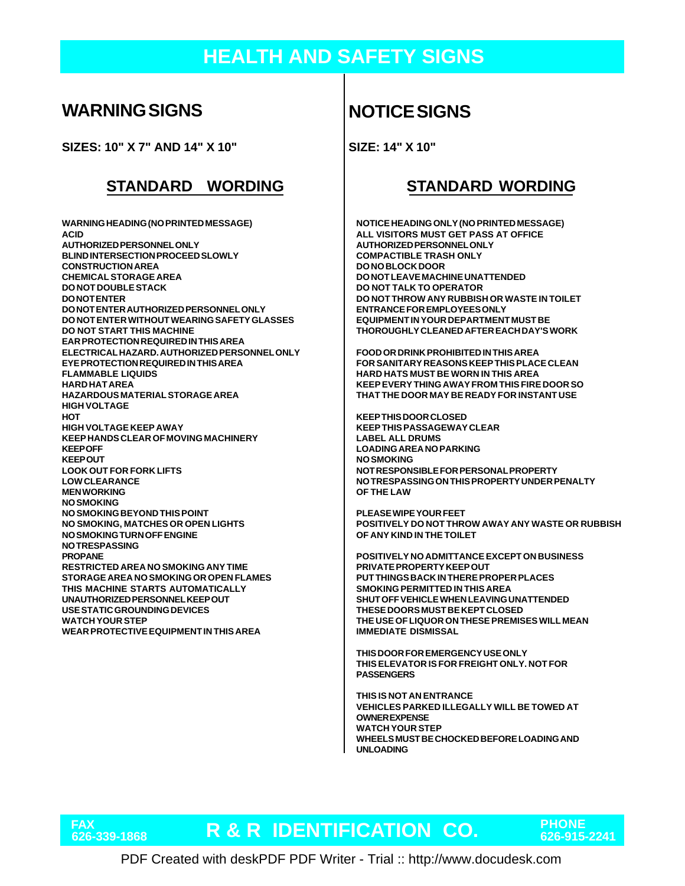## **HEALTH AND SAFETY SIGNS**

#### **WARNING SIGNS**

**SIZES: 10" X 7" AND 14" X 10"**

#### **STANDARD WORDING STANDARD WORDING**

**WARNING HEADING (NO PRINTED MESSAGE) ACID AUTHORIZED PERSONNEL ONLY BLIND INTERSECTION PROCEED SLOWLY CONSTRUCTION AREA CHEMICAL STORAGE AREA DO NOT DOUBLE STACK DO NOT ENTER DO NOT ENTER AUTHORIZED PERSONNEL ONLY DO NOT ENTER WITHOUT WEARING SAFETY GLASSES DO NOT START THIS MACHINE EAR PROTECTION REQUIRED IN THIS AREA ELECTRICAL HAZARD. AUTHORIZED PERSONNEL ONLY EYE PROTECTION REQUIRED IN THIS AREA FLAMMABLE LIQUIDS HARD HAT AREA HAZARDOUS MATERIAL STORAGE AREA HIGH VOLTAGE HOT HIGH VOLTAGE KEEP AWAY KEEP HANDS CLEAR OF MOVING MACHINERY KEEP OFF KEEP OUT LOOK OUT FOR FORK LIFTS LOW CLEARANCE MEN WORKING NO SMOKING NO SMOKING BEYOND THIS POINT NO SMOKING, MATCHES OR OPEN LIGHTS NO SMOKING TURN OFF ENGINE NO TRESPASSING PROPANE RESTRICTED AREA NO SMOKING ANY TIME STORAGE AREA NO SMOKING OR OPEN FLAMES THIS MACHINE STARTS AUTOMATICALLY UNAUTHORIZED PERSONNEL KEEP OUT USE STATIC GROUNDING DEVICES WATCH YOUR STEP WEAR PROTECTIVE EQUIPMENT IN THIS AREA**

## **NOTICE SIGNS**

**SIZE: 14" X 10"**

**NOTICE HEADING ONLY (NO PRINTED MESSAGE) ALL VISITORS MUST GET PASS AT OFFICE AUTHORIZED PERSONNEL ONLY COMPACTIBLE TRASH ONLY DO NO BLOCK DOOR DO NOT LEAVE MACHINE UNATTENDED DO NOT TALK TO OPERATOR DO NOT THROW ANY RUBBISH OR WASTE IN TOILET ENTRANCE FOR EMPLOYEES ONLY EQUIPMENT IN YOUR DEPARTMENT MUST BE THOROUGHLY CLEANED AFTER EACH DAY'S WORK**

**FOOD OR DRINK PROHIBITED IN THIS AREA FOR SANITARY REASONS KEEP THIS PLACE CLEAN HARD HATS MUST BE WORN IN THIS AREA KEEP EVERY THING AWAY FROM THIS FIRE DOOR SO THAT THE DOOR MAY BE READY FOR INSTANT USE**

**KEEP THIS DOOR CLOSED KEEP THIS PASSAGEWAY CLEAR LABEL ALL DRUMS LOADING AREA NO PARKING NO SMOKING NOT RESPONSIBLE FOR PERSONAL PROPERTY NO TRESPASSING ON THIS PROPERTY UNDER PENALTY OF THE LAW**

**PLEASE WIPE YOUR FEET POSITIVELY DO NOT THROW AWAY ANY WASTE OR RUBBISH OF ANY KIND IN THE TOILET**

**POSITIVELY NO ADMITTANCE EXCEPT ON BUSINESS PRIVATE PROPERTY KEEP OUT PUT THINGS BACK IN THERE PROPER PLACES SMOKING PERMITTED IN THIS AREA SHUT OFF VEHICLE WHEN LEAVING UNATTENDED THESE DOORS MUST BE KEPT CLOSED THE USE OF LIQUOR ON THESE PREMISES WILL MEAN IMMEDIATE DISMISSAL**

**THIS DOOR FOR EMERGENCY USE ONLY THIS ELEVATOR IS FOR FREIGHT ONLY. NOT FOR PASSENGERS**

**THIS IS NOT AN ENTRANCE VEHICLES PARKED ILLEGALLY WILL BE TOWED AT OWNER EXPENSE WATCH YOUR STEP WHEELS MUST BE CHOCKED BEFORE LOADING AND UNLOADING**

**FAX**

**R & R IDENTIFICATION CO. PHONE 626-339-1868 626-915-2241**